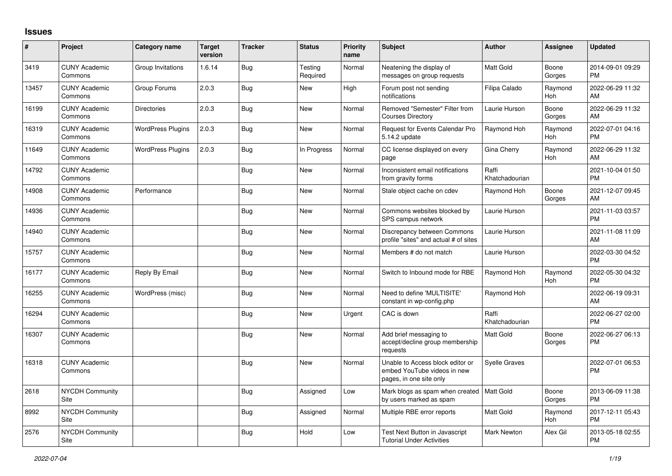## **Issues**

| #     | Project                         | <b>Category name</b>     | <b>Target</b><br>version | <b>Tracker</b> | <b>Status</b>       | <b>Priority</b><br>name | <b>Subject</b>                                                                             | Author                  | Assignee              | <b>Updated</b>                |
|-------|---------------------------------|--------------------------|--------------------------|----------------|---------------------|-------------------------|--------------------------------------------------------------------------------------------|-------------------------|-----------------------|-------------------------------|
| 3419  | <b>CUNY Academic</b><br>Commons | Group Invitations        | 1.6.14                   | <b>Bug</b>     | Testing<br>Required | Normal                  | Neatening the display of<br>messages on group requests                                     | <b>Matt Gold</b>        | Boone<br>Gorges       | 2014-09-01 09:29<br><b>PM</b> |
| 13457 | <b>CUNY Academic</b><br>Commons | Group Forums             | 2.0.3                    | <b>Bug</b>     | New                 | High                    | Forum post not sending<br>notifications                                                    | Filipa Calado           | Raymond<br>Hoh        | 2022-06-29 11:32<br>AM        |
| 16199 | <b>CUNY Academic</b><br>Commons | <b>Directories</b>       | 2.0.3                    | <b>Bug</b>     | <b>New</b>          | Normal                  | Removed "Semester" Filter from<br><b>Courses Directory</b>                                 | Laurie Hurson           | Boone<br>Gorges       | 2022-06-29 11:32<br>AM        |
| 16319 | <b>CUNY Academic</b><br>Commons | <b>WordPress Plugins</b> | 2.0.3                    | Bug            | <b>New</b>          | Normal                  | Request for Events Calendar Pro<br>5.14.2 update                                           | Raymond Hoh             | Raymond<br>Hoh        | 2022-07-01 04:16<br><b>PM</b> |
| 11649 | <b>CUNY Academic</b><br>Commons | <b>WordPress Plugins</b> | 2.0.3                    | Bug            | In Progress         | Normal                  | CC license displayed on every<br>page                                                      | Gina Cherry             | Raymond<br>Hoh        | 2022-06-29 11:32<br>AM        |
| 14792 | <b>CUNY Academic</b><br>Commons |                          |                          | Bug            | New                 | Normal                  | Inconsistent email notifications<br>from gravity forms                                     | Raffi<br>Khatchadourian |                       | 2021-10-04 01:50<br><b>PM</b> |
| 14908 | <b>CUNY Academic</b><br>Commons | Performance              |                          | Bug            | <b>New</b>          | Normal                  | Stale object cache on cdev                                                                 | Raymond Hoh             | Boone<br>Gorges       | 2021-12-07 09:45<br>AM        |
| 14936 | <b>CUNY Academic</b><br>Commons |                          |                          | Bug            | <b>New</b>          | Normal                  | Commons websites blocked by<br>SPS campus network                                          | Laurie Hurson           |                       | 2021-11-03 03:57<br><b>PM</b> |
| 14940 | <b>CUNY Academic</b><br>Commons |                          |                          | Bug            | <b>New</b>          | Normal                  | Discrepancy between Commons<br>profile "sites" and actual # of sites                       | Laurie Hurson           |                       | 2021-11-08 11:09<br>AM        |
| 15757 | <b>CUNY Academic</b><br>Commons |                          |                          | <b>Bug</b>     | New                 | Normal                  | Members # do not match                                                                     | Laurie Hurson           |                       | 2022-03-30 04:52<br><b>PM</b> |
| 16177 | <b>CUNY Academic</b><br>Commons | Reply By Email           |                          | <b>Bug</b>     | New                 | Normal                  | Switch to Inbound mode for RBE                                                             | Raymond Hoh             | Raymond<br><b>Hoh</b> | 2022-05-30 04:32<br><b>PM</b> |
| 16255 | <b>CUNY Academic</b><br>Commons | WordPress (misc)         |                          | Bug            | New                 | Normal                  | Need to define 'MULTISITE'<br>constant in wp-config.php                                    | Raymond Hoh             |                       | 2022-06-19 09:31<br>AM        |
| 16294 | <b>CUNY Academic</b><br>Commons |                          |                          | Bug            | <b>New</b>          | Urgent                  | CAC is down                                                                                | Raffi<br>Khatchadourian |                       | 2022-06-27 02:00<br><b>PM</b> |
| 16307 | <b>CUNY Academic</b><br>Commons |                          |                          | <b>Bug</b>     | New                 | Normal                  | Add brief messaging to<br>accept/decline group membership<br>requests                      | <b>Matt Gold</b>        | Boone<br>Gorges       | 2022-06-27 06:13<br>PM        |
| 16318 | <b>CUNY Academic</b><br>Commons |                          |                          | <b>Bug</b>     | <b>New</b>          | Normal                  | Unable to Access block editor or<br>embed YouTube videos in new<br>pages, in one site only | <b>Syelle Graves</b>    |                       | 2022-07-01 06:53<br><b>PM</b> |
| 2618  | <b>NYCDH Community</b><br>Site  |                          |                          | Bug            | Assigned            | Low                     | Mark blogs as spam when created<br>by users marked as spam                                 | Matt Gold               | Boone<br>Gorges       | 2013-06-09 11:38<br><b>PM</b> |
| 8992  | <b>NYCDH Community</b><br>Site  |                          |                          | Bug            | Assigned            | Normal                  | Multiple RBE error reports                                                                 | <b>Matt Gold</b>        | Raymond<br>Hoh        | 2017-12-11 05:43<br><b>PM</b> |
| 2576  | <b>NYCDH Community</b><br>Site  |                          |                          | <b>Bug</b>     | Hold                | Low                     | Test Next Button in Javascript<br><b>Tutorial Under Activities</b>                         | Mark Newton             | Alex Gil              | 2013-05-18 02:55<br>PM        |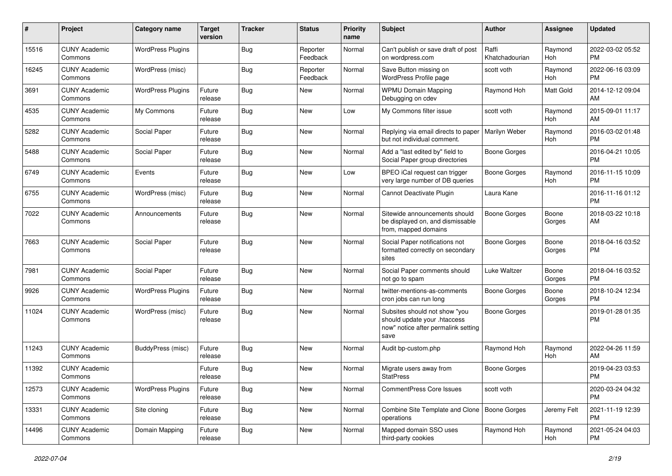| #     | Project                         | Category name            | <b>Target</b><br>version | <b>Tracker</b> | <b>Status</b>        | <b>Priority</b><br>name | <b>Subject</b>                                                                                               | <b>Author</b>           | <b>Assignee</b>  | <b>Updated</b>                |
|-------|---------------------------------|--------------------------|--------------------------|----------------|----------------------|-------------------------|--------------------------------------------------------------------------------------------------------------|-------------------------|------------------|-------------------------------|
| 15516 | <b>CUNY Academic</b><br>Commons | <b>WordPress Plugins</b> |                          | Bug            | Reporter<br>Feedback | Normal                  | Can't publish or save draft of post<br>on wordpress.com                                                      | Raffi<br>Khatchadourian | Raymond<br>Hoh   | 2022-03-02 05:52<br>PM.       |
| 16245 | <b>CUNY Academic</b><br>Commons | WordPress (misc)         |                          | <b>Bug</b>     | Reporter<br>Feedback | Normal                  | Save Button missing on<br>WordPress Profile page                                                             | scott voth              | Raymond<br>Hoh   | 2022-06-16 03:09<br><b>PM</b> |
| 3691  | <b>CUNY Academic</b><br>Commons | <b>WordPress Plugins</b> | Future<br>release        | Bug            | <b>New</b>           | Normal                  | <b>WPMU Domain Mapping</b><br>Debugging on cdev                                                              | Raymond Hoh             | <b>Matt Gold</b> | 2014-12-12 09:04<br>AM        |
| 4535  | <b>CUNY Academic</b><br>Commons | My Commons               | Future<br>release        | Bug            | <b>New</b>           | Low                     | My Commons filter issue                                                                                      | scott voth              | Raymond<br>Hoh   | 2015-09-01 11:17<br>AM        |
| 5282  | <b>CUNY Academic</b><br>Commons | Social Paper             | Future<br>release        | <b>Bug</b>     | <b>New</b>           | Normal                  | Replying via email directs to paper<br>but not individual comment.                                           | Marilyn Weber           | Raymond<br>Hoh   | 2016-03-02 01:48<br><b>PM</b> |
| 5488  | <b>CUNY Academic</b><br>Commons | Social Paper             | Future<br>release        | Bug            | New                  | Normal                  | Add a "last edited by" field to<br>Social Paper group directories                                            | <b>Boone Gorges</b>     |                  | 2016-04-21 10:05<br><b>PM</b> |
| 6749  | <b>CUNY Academic</b><br>Commons | Events                   | Future<br>release        | Bug            | <b>New</b>           | Low                     | BPEO iCal request can trigger<br>very large number of DB queries                                             | <b>Boone Gorges</b>     | Raymond<br>Hoh   | 2016-11-15 10:09<br><b>PM</b> |
| 6755  | <b>CUNY Academic</b><br>Commons | WordPress (misc)         | Future<br>release        | Bug            | <b>New</b>           | Normal                  | Cannot Deactivate Plugin                                                                                     | Laura Kane              |                  | 2016-11-16 01:12<br><b>PM</b> |
| 7022  | <b>CUNY Academic</b><br>Commons | Announcements            | Future<br>release        | Bug            | <b>New</b>           | Normal                  | Sitewide announcements should<br>be displayed on, and dismissable<br>from, mapped domains                    | <b>Boone Gorges</b>     | Boone<br>Gorges  | 2018-03-22 10:18<br>AM        |
| 7663  | <b>CUNY Academic</b><br>Commons | Social Paper             | Future<br>release        | Bug            | <b>New</b>           | Normal                  | Social Paper notifications not<br>formatted correctly on secondary<br>sites                                  | <b>Boone Gorges</b>     | Boone<br>Gorges  | 2018-04-16 03:52<br><b>PM</b> |
| 7981  | <b>CUNY Academic</b><br>Commons | Social Paper             | Future<br>release        | Bug            | <b>New</b>           | Normal                  | Social Paper comments should<br>not go to spam                                                               | Luke Waltzer            | Boone<br>Gorges  | 2018-04-16 03:52<br><b>PM</b> |
| 9926  | <b>CUNY Academic</b><br>Commons | <b>WordPress Plugins</b> | Future<br>release        | <b>Bug</b>     | New                  | Normal                  | twitter-mentions-as-comments<br>cron jobs can run long                                                       | Boone Gorges            | Boone<br>Gorges  | 2018-10-24 12:34<br><b>PM</b> |
| 11024 | <b>CUNY Academic</b><br>Commons | WordPress (misc)         | Future<br>release        | Bug            | <b>New</b>           | Normal                  | Subsites should not show "you<br>should update your .htaccess<br>now" notice after permalink setting<br>save | Boone Gorges            |                  | 2019-01-28 01:35<br><b>PM</b> |
| 11243 | <b>CUNY Academic</b><br>Commons | <b>BuddyPress</b> (misc) | Future<br>release        | <b>Bug</b>     | New                  | Normal                  | Audit bp-custom.php                                                                                          | Raymond Hoh             | Raymond<br>Hoh   | 2022-04-26 11:59<br>AM        |
| 11392 | <b>CUNY Academic</b><br>Commons |                          | Future<br>release        | Bug            | <b>New</b>           | Normal                  | Migrate users away from<br><b>StatPress</b>                                                                  | Boone Gorges            |                  | 2019-04-23 03:53<br><b>PM</b> |
| 12573 | <b>CUNY Academic</b><br>Commons | <b>WordPress Plugins</b> | Future<br>release        | <b>Bug</b>     | New                  | Normal                  | <b>CommentPress Core Issues</b>                                                                              | scott voth              |                  | 2020-03-24 04:32<br><b>PM</b> |
| 13331 | <b>CUNY Academic</b><br>Commons | Site cloning             | Future<br>release        | <b>Bug</b>     | New                  | Normal                  | Combine Site Template and Clone<br>operations                                                                | Boone Gorges            | Jeremy Felt      | 2021-11-19 12:39<br>PM        |
| 14496 | <b>CUNY Academic</b><br>Commons | Domain Mapping           | Future<br>release        | <b>Bug</b>     | New                  | Normal                  | Mapped domain SSO uses<br>third-party cookies                                                                | Raymond Hoh             | Raymond<br>Hoh   | 2021-05-24 04:03<br>PM        |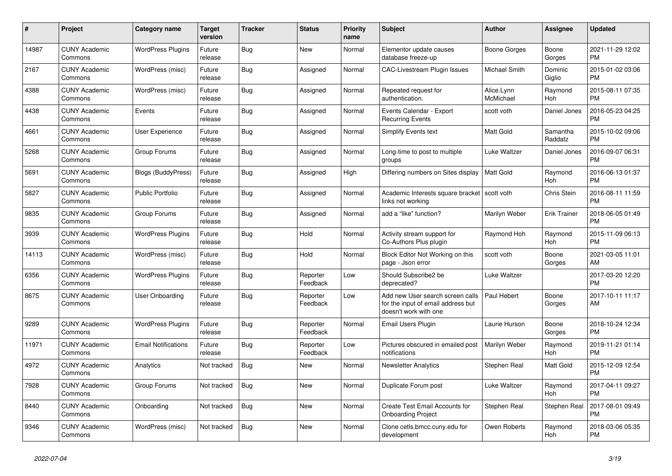| #     | Project                         | Category name              | <b>Target</b><br>version | Tracker    | <b>Status</b>        | <b>Priority</b><br>name | <b>Subject</b>                                                                                  | <b>Author</b>           | Assignee            | <b>Updated</b>                |
|-------|---------------------------------|----------------------------|--------------------------|------------|----------------------|-------------------------|-------------------------------------------------------------------------------------------------|-------------------------|---------------------|-------------------------------|
| 14987 | <b>CUNY Academic</b><br>Commons | <b>WordPress Plugins</b>   | Future<br>release        | Bug        | New                  | Normal                  | Elementor update causes<br>database freeze-up                                                   | Boone Gorges            | Boone<br>Gorges     | 2021-11-29 12:02<br><b>PM</b> |
| 2167  | <b>CUNY Academic</b><br>Commons | WordPress (misc)           | Future<br>release        | Bug        | Assigned             | Normal                  | <b>CAC-Livestream Plugin Issues</b>                                                             | Michael Smith           | Dominic<br>Giglio   | 2015-01-02 03:06<br><b>PM</b> |
| 4388  | <b>CUNY Academic</b><br>Commons | WordPress (misc)           | Future<br>release        | Bug        | Assigned             | Normal                  | Repeated request for<br>authentication.                                                         | Alice.Lynn<br>McMichael | Raymond<br>Hoh      | 2015-08-11 07:35<br><b>PM</b> |
| 4438  | <b>CUNY Academic</b><br>Commons | Events                     | Future<br>release        | <b>Bug</b> | Assigned             | Normal                  | Events Calendar - Export<br><b>Recurring Events</b>                                             | scott voth              | Daniel Jones        | 2016-05-23 04:25<br><b>PM</b> |
| 4661  | <b>CUNY Academic</b><br>Commons | <b>User Experience</b>     | Future<br>release        | Bug        | Assigned             | Normal                  | <b>Simplify Events text</b>                                                                     | <b>Matt Gold</b>        | Samantha<br>Raddatz | 2015-10-02 09:06<br><b>PM</b> |
| 5268  | <b>CUNY Academic</b><br>Commons | Group Forums               | Future<br>release        | <b>Bug</b> | Assigned             | Normal                  | Long-time to post to multiple<br>groups                                                         | Luke Waltzer            | Daniel Jones        | 2016-09-07 06:31<br><b>PM</b> |
| 5691  | <b>CUNY Academic</b><br>Commons | <b>Blogs (BuddyPress)</b>  | Future<br>release        | Bug        | Assigned             | High                    | Differing numbers on Sites display                                                              | Matt Gold               | Raymond<br>Hoh      | 2016-06-13 01:37<br><b>PM</b> |
| 5827  | <b>CUNY Academic</b><br>Commons | <b>Public Portfolio</b>    | Future<br>release        | Bug        | Assigned             | Normal                  | Academic Interests square bracket   scott voth<br>links not working                             |                         | Chris Stein         | 2016-08-11 11:59<br><b>PM</b> |
| 9835  | <b>CUNY Academic</b><br>Commons | Group Forums               | Future<br>release        | <b>Bug</b> | Assigned             | Normal                  | add a "like" function?                                                                          | Marilyn Weber           | <b>Erik Trainer</b> | 2018-06-05 01:49<br><b>PM</b> |
| 3939  | <b>CUNY Academic</b><br>Commons | <b>WordPress Plugins</b>   | Future<br>release        | <b>Bug</b> | Hold                 | Normal                  | Activity stream support for<br>Co-Authors Plus plugin                                           | Raymond Hoh             | Raymond<br>Hoh      | 2015-11-09 06:13<br><b>PM</b> |
| 14113 | <b>CUNY Academic</b><br>Commons | WordPress (misc)           | Future<br>release        | Bug        | Hold                 | Normal                  | Block Editor Not Working on this<br>page - Json error                                           | scott voth              | Boone<br>Gorges     | 2021-03-05 11:01<br>AM        |
| 6356  | <b>CUNY Academic</b><br>Commons | <b>WordPress Plugins</b>   | Future<br>release        | Bug        | Reporter<br>Feedback | Low                     | Should Subscribe2 be<br>deprecated?                                                             | Luke Waltzer            |                     | 2017-03-20 12:20<br><b>PM</b> |
| 8675  | <b>CUNY Academic</b><br>Commons | <b>User Onboarding</b>     | Future<br>release        | <b>Bug</b> | Reporter<br>Feedback | Low                     | Add new User search screen calls<br>for the input of email address but<br>doesn't work with one | Paul Hebert             | Boone<br>Gorges     | 2017-10-11 11:17<br>AM        |
| 9289  | <b>CUNY Academic</b><br>Commons | <b>WordPress Plugins</b>   | Future<br>release        | Bug        | Reporter<br>Feedback | Normal                  | Email Users Plugin                                                                              | Laurie Hurson           | Boone<br>Gorges     | 2018-10-24 12:34<br><b>PM</b> |
| 11971 | <b>CUNY Academic</b><br>Commons | <b>Email Notifications</b> | Future<br>release        | Bug        | Reporter<br>Feedback | Low                     | Pictures obscured in emailed post<br>notifications                                              | Marilyn Weber           | Raymond<br>Hoh      | 2019-11-21 01:14<br><b>PM</b> |
| 4972  | <b>CUNY Academic</b><br>Commons | Analytics                  | Not tracked              | <b>Bug</b> | New                  | Normal                  | <b>Newsletter Analytics</b>                                                                     | Stephen Real            | Matt Gold           | 2015-12-09 12:54<br><b>PM</b> |
| 7928  | <b>CUNY Academic</b><br>Commons | Group Forums               | Not tracked              | <b>Bug</b> | <b>New</b>           | Normal                  | Duplicate Forum post                                                                            | Luke Waltzer            | Raymond<br>Hoh      | 2017-04-11 09:27<br><b>PM</b> |
| 8440  | <b>CUNY Academic</b><br>Commons | Onboarding                 | Not tracked              | Bug        | <b>New</b>           | Normal                  | <b>Create Test Email Accounts for</b><br><b>Onboarding Project</b>                              | Stephen Real            | Stephen Real        | 2017-08-01 09:49<br><b>PM</b> |
| 9346  | <b>CUNY Academic</b><br>Commons | WordPress (misc)           | Not tracked              | Bug        | <b>New</b>           | Normal                  | Clone cetls.bmcc.cuny.edu for<br>development                                                    | Owen Roberts            | Raymond<br>Hoh      | 2018-03-06 05:35<br>PM        |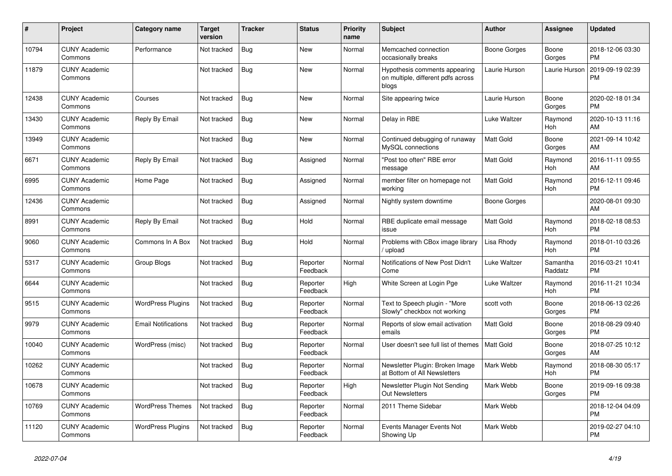| #     | Project                         | <b>Category name</b>       | <b>Target</b><br>version | <b>Tracker</b> | <b>Status</b>        | <b>Priority</b><br>name | <b>Subject</b>                                                               | <b>Author</b>    | <b>Assignee</b>     | <b>Updated</b>                |
|-------|---------------------------------|----------------------------|--------------------------|----------------|----------------------|-------------------------|------------------------------------------------------------------------------|------------------|---------------------|-------------------------------|
| 10794 | <b>CUNY Academic</b><br>Commons | Performance                | Not tracked              | <b>Bug</b>     | New                  | Normal                  | Memcached connection<br>occasionally breaks                                  | Boone Gorges     | Boone<br>Gorges     | 2018-12-06 03:30<br><b>PM</b> |
| 11879 | <b>CUNY Academic</b><br>Commons |                            | Not tracked              | Bug            | <b>New</b>           | Normal                  | Hypothesis comments appearing<br>on multiple, different pdfs across<br>blogs | Laurie Hurson    | Laurie Hurson       | 2019-09-19 02:39<br><b>PM</b> |
| 12438 | <b>CUNY Academic</b><br>Commons | Courses                    | Not tracked              | <b>Bug</b>     | <b>New</b>           | Normal                  | Site appearing twice                                                         | Laurie Hurson    | Boone<br>Gorges     | 2020-02-18 01:34<br><b>PM</b> |
| 13430 | <b>CUNY Academic</b><br>Commons | Reply By Email             | Not tracked              | Bug            | New                  | Normal                  | Delay in RBE                                                                 | Luke Waltzer     | Raymond<br>Hoh      | 2020-10-13 11:16<br>AM        |
| 13949 | <b>CUNY Academic</b><br>Commons |                            | Not tracked              | Bug            | New                  | Normal                  | Continued debugging of runaway<br>MySQL connections                          | <b>Matt Gold</b> | Boone<br>Gorges     | 2021-09-14 10:42<br>AM        |
| 6671  | <b>CUNY Academic</b><br>Commons | Reply By Email             | Not tracked              | Bug            | Assigned             | Normal                  | "Post too often" RBE error<br>message                                        | <b>Matt Gold</b> | Raymond<br>Hoh      | 2016-11-11 09:55<br>AM        |
| 6995  | <b>CUNY Academic</b><br>Commons | Home Page                  | Not tracked              | Bug            | Assigned             | Normal                  | member filter on homepage not<br>working                                     | <b>Matt Gold</b> | Raymond<br>Hoh      | 2016-12-11 09:46<br><b>PM</b> |
| 12436 | <b>CUNY Academic</b><br>Commons |                            | Not tracked              | Bug            | Assigned             | Normal                  | Nightly system downtime                                                      | Boone Gorges     |                     | 2020-08-01 09:30<br>AM        |
| 8991  | <b>CUNY Academic</b><br>Commons | Reply By Email             | Not tracked              | <b>Bug</b>     | Hold                 | Normal                  | RBE duplicate email message<br>issue                                         | <b>Matt Gold</b> | Raymond<br>Hoh      | 2018-02-18 08:53<br><b>PM</b> |
| 9060  | <b>CUNY Academic</b><br>Commons | Commons In A Box           | Not tracked              | Bug            | Hold                 | Normal                  | Problems with CBox image library<br>/ upload                                 | Lisa Rhody       | Raymond<br>Hoh      | 2018-01-10 03:26<br><b>PM</b> |
| 5317  | <b>CUNY Academic</b><br>Commons | Group Blogs                | Not tracked              | Bug            | Reporter<br>Feedback | Normal                  | Notifications of New Post Didn't<br>Come                                     | Luke Waltzer     | Samantha<br>Raddatz | 2016-03-21 10:41<br><b>PM</b> |
| 6644  | <b>CUNY Academic</b><br>Commons |                            | Not tracked              | <b>Bug</b>     | Reporter<br>Feedback | High                    | White Screen at Login Pge                                                    | Luke Waltzer     | Raymond<br>Hoh      | 2016-11-21 10:34<br><b>PM</b> |
| 9515  | <b>CUNY Academic</b><br>Commons | <b>WordPress Plugins</b>   | Not tracked              | <b>Bug</b>     | Reporter<br>Feedback | Normal                  | Text to Speech plugin - "More<br>Slowly" checkbox not working                | scott voth       | Boone<br>Gorges     | 2018-06-13 02:26<br><b>PM</b> |
| 9979  | <b>CUNY Academic</b><br>Commons | <b>Email Notifications</b> | Not tracked              | Bug            | Reporter<br>Feedback | Normal                  | Reports of slow email activation<br>emails                                   | <b>Matt Gold</b> | Boone<br>Gorges     | 2018-08-29 09:40<br><b>PM</b> |
| 10040 | <b>CUNY Academic</b><br>Commons | WordPress (misc)           | Not tracked              | Bug            | Reporter<br>Feedback | Normal                  | User doesn't see full list of themes                                         | <b>Matt Gold</b> | Boone<br>Gorges     | 2018-07-25 10:12<br>AM        |
| 10262 | <b>CUNY Academic</b><br>Commons |                            | Not tracked              | <b>Bug</b>     | Reporter<br>Feedback | Normal                  | Newsletter Plugin: Broken Image<br>at Bottom of All Newsletters              | Mark Webb        | Raymond<br>Hoh      | 2018-08-30 05:17<br><b>PM</b> |
| 10678 | <b>CUNY Academic</b><br>Commons |                            | Not tracked              | <b>Bug</b>     | Reporter<br>Feedback | High                    | Newsletter Plugin Not Sending<br><b>Out Newsletters</b>                      | Mark Webb        | Boone<br>Gorges     | 2019-09-16 09:38<br><b>PM</b> |
| 10769 | <b>CUNY Academic</b><br>Commons | <b>WordPress Themes</b>    | Not tracked              | Bug            | Reporter<br>Feedback | Normal                  | 2011 Theme Sidebar                                                           | Mark Webb        |                     | 2018-12-04 04:09<br><b>PM</b> |
| 11120 | <b>CUNY Academic</b><br>Commons | <b>WordPress Plugins</b>   | Not tracked              | Bug            | Reporter<br>Feedback | Normal                  | Events Manager Events Not<br>Showing Up                                      | Mark Webb        |                     | 2019-02-27 04:10<br><b>PM</b> |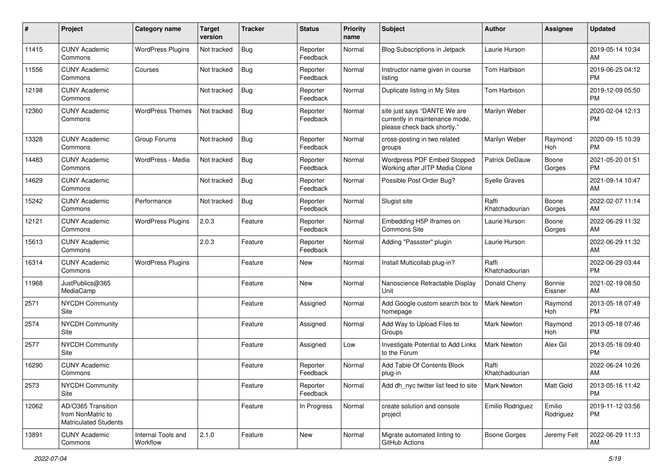| #     | Project                                                                 | <b>Category name</b>           | <b>Target</b><br>version | <b>Tracker</b> | <b>Status</b>        | Priority<br>name | <b>Subject</b>                                                                                | <b>Author</b>           | <b>Assignee</b>     | <b>Updated</b>                |
|-------|-------------------------------------------------------------------------|--------------------------------|--------------------------|----------------|----------------------|------------------|-----------------------------------------------------------------------------------------------|-------------------------|---------------------|-------------------------------|
| 11415 | <b>CUNY Academic</b><br>Commons                                         | <b>WordPress Plugins</b>       | Not tracked              | <b>Bug</b>     | Reporter<br>Feedback | Normal           | <b>Blog Subscriptions in Jetpack</b>                                                          | Laurie Hurson           |                     | 2019-05-14 10:34<br>AM.       |
| 11556 | <b>CUNY Academic</b><br>Commons                                         | Courses                        | Not tracked              | <b>Bug</b>     | Reporter<br>Feedback | Normal           | Instructor name given in course<br>listing                                                    | Tom Harbison            |                     | 2019-06-25 04:12<br><b>PM</b> |
| 12198 | <b>CUNY Academic</b><br>Commons                                         |                                | Not tracked              | Bug            | Reporter<br>Feedback | Normal           | Duplicate listing in My Sites                                                                 | Tom Harbison            |                     | 2019-12-09 05:50<br><b>PM</b> |
| 12360 | <b>CUNY Academic</b><br>Commons                                         | <b>WordPress Themes</b>        | Not tracked              | <b>Bug</b>     | Reporter<br>Feedback | Normal           | site just says "DANTE We are<br>currently in maintenance mode,<br>please check back shortly." | Marilyn Weber           |                     | 2020-02-04 12:13<br><b>PM</b> |
| 13328 | <b>CUNY Academic</b><br>Commons                                         | Group Forums                   | Not tracked              | Bug            | Reporter<br>Feedback | Normal           | cross-posting in two related<br>groups                                                        | Marilyn Weber           | Raymond<br>Hoh      | 2020-09-15 10:39<br><b>PM</b> |
| 14483 | <b>CUNY Academic</b><br>Commons                                         | WordPress - Media              | Not tracked              | <b>Bug</b>     | Reporter<br>Feedback | Normal           | <b>Wordpress PDF Embed Stopped</b><br>Working after JITP Media Clone                          | Patrick DeDauw          | Boone<br>Gorges     | 2021-05-20 01:51<br><b>PM</b> |
| 14629 | <b>CUNY Academic</b><br>Commons                                         |                                | Not tracked              | Bug            | Reporter<br>Feedback | Normal           | Possible Post Order Bug?                                                                      | Syelle Graves           |                     | 2021-09-14 10:47<br>AM        |
| 15242 | <b>CUNY Academic</b><br>Commons                                         | Performance                    | Not tracked              | Bug            | Reporter<br>Feedback | Normal           | Slugist site                                                                                  | Raffi<br>Khatchadourian | Boone<br>Gorges     | 2022-02-07 11:14<br>AM        |
| 12121 | <b>CUNY Academic</b><br>Commons                                         | <b>WordPress Plugins</b>       | 2.0.3                    | Feature        | Reporter<br>Feedback | Normal           | Embedding H5P Iframes on<br><b>Commons Site</b>                                               | Laurie Hurson           | Boone<br>Gorges     | 2022-06-29 11:32<br>AM.       |
| 15613 | <b>CUNY Academic</b><br>Commons                                         |                                | 2.0.3                    | Feature        | Reporter<br>Feedback | Normal           | Adding "Passster" plugin                                                                      | Laurie Hurson           |                     | 2022-06-29 11:32<br>AM        |
| 16314 | <b>CUNY Academic</b><br>Commons                                         | <b>WordPress Plugins</b>       |                          | Feature        | New                  | Normal           | Install Multicollab plug-in?                                                                  | Raffi<br>Khatchadourian |                     | 2022-06-29 03:44<br><b>PM</b> |
| 11968 | JustPublics@365<br>MediaCamp                                            |                                |                          | Feature        | New                  | Normal           | Nanoscience Retractable Display<br>Unit                                                       | Donald Cherry           | Bonnie<br>Eissner   | 2021-02-19 08:50<br>AM        |
| 2571  | <b>NYCDH Community</b><br>Site                                          |                                |                          | Feature        | Assigned             | Normal           | Add Google custom search box to<br>homepage                                                   | Mark Newton             | Raymond<br>Hoh      | 2013-05-18 07:49<br><b>PM</b> |
| 2574  | <b>NYCDH Community</b><br>Site                                          |                                |                          | Feature        | Assigned             | Normal           | Add Way to Upload Files to<br>Groups                                                          | Mark Newton             | Raymond<br>Hoh      | 2013-05-18 07:46<br><b>PM</b> |
| 2577  | NYCDH Community<br>Site                                                 |                                |                          | Feature        | Assigned             | Low              | Investigate Potential to Add Links<br>to the Forum                                            | Mark Newton             | Alex Gil            | 2013-05-16 09:40<br><b>PM</b> |
| 16290 | <b>CUNY Academic</b><br>Commons                                         |                                |                          | Feature        | Reporter<br>Feedback | Normal           | Add Table Of Contents Block<br>plug-in                                                        | Raffi<br>Khatchadourian |                     | 2022-06-24 10:26<br>AM        |
| 2573  | <b>NYCDH Community</b><br>Site                                          |                                |                          | Feature        | Reporter<br>Feedback | Normal           | Add dh_nyc twitter list feed to site                                                          | Mark Newton             | Matt Gold           | 2013-05-16 11:42<br>PM        |
| 12062 | AD/O365 Transition<br>from NonMatric to<br><b>Matriculated Students</b> |                                |                          | Feature        | In Progress          | Normal           | create solution and console<br>project                                                        | Emilio Rodriguez        | Emilio<br>Rodriguez | 2019-11-12 03:56<br><b>PM</b> |
| 13891 | <b>CUNY Academic</b><br>Commons                                         | Internal Tools and<br>Workflow | 2.1.0                    | Feature        | New                  | Normal           | Migrate automated linting to<br>GitHub Actions                                                | Boone Gorges            | Jeremy Felt         | 2022-06-29 11:13<br>AM        |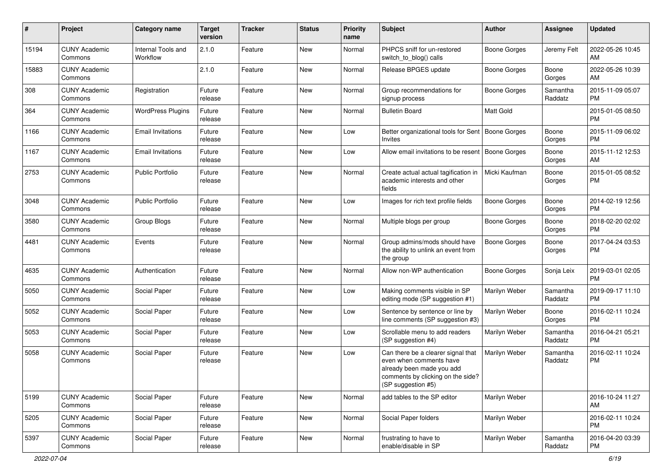| #     | Project                         | <b>Category name</b>           | <b>Target</b><br>version | <b>Tracker</b> | <b>Status</b> | <b>Priority</b><br>name | Subject                                                                                                                                               | Author              | Assignee            | <b>Updated</b>                |
|-------|---------------------------------|--------------------------------|--------------------------|----------------|---------------|-------------------------|-------------------------------------------------------------------------------------------------------------------------------------------------------|---------------------|---------------------|-------------------------------|
| 15194 | <b>CUNY Academic</b><br>Commons | Internal Tools and<br>Workflow | 2.1.0                    | Feature        | <b>New</b>    | Normal                  | PHPCS sniff for un-restored<br>switch to blog() calls                                                                                                 | <b>Boone Gorges</b> | Jeremy Felt         | 2022-05-26 10:45<br>AM        |
| 15883 | <b>CUNY Academic</b><br>Commons |                                | 2.1.0                    | Feature        | New           | Normal                  | Release BPGES update                                                                                                                                  | <b>Boone Gorges</b> | Boone<br>Gorges     | 2022-05-26 10:39<br>AM        |
| 308   | <b>CUNY Academic</b><br>Commons | Registration                   | Future<br>release        | Feature        | <b>New</b>    | Normal                  | Group recommendations for<br>signup process                                                                                                           | Boone Gorges        | Samantha<br>Raddatz | 2015-11-09 05:07<br><b>PM</b> |
| 364   | <b>CUNY Academic</b><br>Commons | <b>WordPress Plugins</b>       | Future<br>release        | Feature        | <b>New</b>    | Normal                  | <b>Bulletin Board</b>                                                                                                                                 | <b>Matt Gold</b>    |                     | 2015-01-05 08:50<br><b>PM</b> |
| 1166  | <b>CUNY Academic</b><br>Commons | <b>Email Invitations</b>       | Future<br>release        | Feature        | <b>New</b>    | Low                     | Better organizational tools for Sent   Boone Gorges<br>Invites                                                                                        |                     | Boone<br>Gorges     | 2015-11-09 06:02<br><b>PM</b> |
| 1167  | <b>CUNY Academic</b><br>Commons | <b>Email Invitations</b>       | Future<br>release        | Feature        | <b>New</b>    | Low                     | Allow email invitations to be resent   Boone Gorges                                                                                                   |                     | Boone<br>Gorges     | 2015-11-12 12:53<br>AM        |
| 2753  | <b>CUNY Academic</b><br>Commons | Public Portfolio               | Future<br>release        | Feature        | <b>New</b>    | Normal                  | Create actual actual tagification in<br>academic interests and other<br>fields                                                                        | Micki Kaufman       | Boone<br>Gorges     | 2015-01-05 08:52<br><b>PM</b> |
| 3048  | <b>CUNY Academic</b><br>Commons | <b>Public Portfolio</b>        | Future<br>release        | Feature        | <b>New</b>    | Low                     | Images for rich text profile fields                                                                                                                   | <b>Boone Gorges</b> | Boone<br>Gorges     | 2014-02-19 12:56<br><b>PM</b> |
| 3580  | <b>CUNY Academic</b><br>Commons | Group Blogs                    | Future<br>release        | Feature        | <b>New</b>    | Normal                  | Multiple blogs per group                                                                                                                              | <b>Boone Gorges</b> | Boone<br>Gorges     | 2018-02-20 02:02<br><b>PM</b> |
| 4481  | <b>CUNY Academic</b><br>Commons | Events                         | Future<br>release        | Feature        | New           | Normal                  | Group admins/mods should have<br>the ability to unlink an event from<br>the group                                                                     | Boone Gorges        | Boone<br>Gorges     | 2017-04-24 03:53<br><b>PM</b> |
| 4635  | <b>CUNY Academic</b><br>Commons | Authentication                 | Future<br>release        | Feature        | <b>New</b>    | Normal                  | Allow non-WP authentication                                                                                                                           | <b>Boone Gorges</b> | Sonja Leix          | 2019-03-01 02:05<br><b>PM</b> |
| 5050  | <b>CUNY Academic</b><br>Commons | Social Paper                   | Future<br>release        | Feature        | <b>New</b>    | Low                     | Making comments visible in SP<br>editing mode (SP suggestion #1)                                                                                      | Marilyn Weber       | Samantha<br>Raddatz | 2019-09-17 11:10<br><b>PM</b> |
| 5052  | <b>CUNY Academic</b><br>Commons | Social Paper                   | Future<br>release        | Feature        | <b>New</b>    | Low                     | Sentence by sentence or line by<br>line comments (SP suggestion #3)                                                                                   | Marilyn Weber       | Boone<br>Gorges     | 2016-02-11 10:24<br><b>PM</b> |
| 5053  | <b>CUNY Academic</b><br>Commons | Social Paper                   | Future<br>release        | Feature        | <b>New</b>    | Low                     | Scrollable menu to add readers<br>(SP suggestion #4)                                                                                                  | Marilyn Weber       | Samantha<br>Raddatz | 2016-04-21 05:21<br><b>PM</b> |
| 5058  | <b>CUNY Academic</b><br>Commons | Social Paper                   | Future<br>release        | Feature        | New           | Low                     | Can there be a clearer signal that<br>even when comments have<br>already been made you add<br>comments by clicking on the side?<br>(SP suggestion #5) | Marilyn Weber       | Samantha<br>Raddatz | 2016-02-11 10:24<br><b>PM</b> |
| 5199  | <b>CUNY Academic</b><br>Commons | Social Paper                   | Future<br>release        | Feature        | New           | Normal                  | add tables to the SP editor                                                                                                                           | Marilyn Weber       |                     | 2016-10-24 11:27<br>AM        |
| 5205  | <b>CUNY Academic</b><br>Commons | Social Paper                   | Future<br>release        | Feature        | New           | Normal                  | Social Paper folders                                                                                                                                  | Marilyn Weber       |                     | 2016-02-11 10:24<br><b>PM</b> |
| 5397  | <b>CUNY Academic</b><br>Commons | Social Paper                   | Future<br>release        | Feature        | New           | Normal                  | frustrating to have to<br>enable/disable in SP                                                                                                        | Marilyn Weber       | Samantha<br>Raddatz | 2016-04-20 03:39<br>PM        |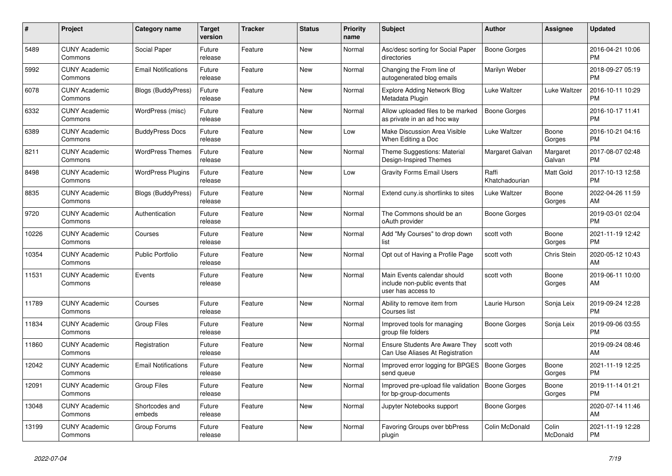| $\#$  | <b>Project</b>                  | Category name              | <b>Target</b><br>version | Tracker | <b>Status</b> | <b>Priority</b><br>name | <b>Subject</b>                                                                      | <b>Author</b>           | <b>Assignee</b>    | <b>Updated</b>                |
|-------|---------------------------------|----------------------------|--------------------------|---------|---------------|-------------------------|-------------------------------------------------------------------------------------|-------------------------|--------------------|-------------------------------|
| 5489  | <b>CUNY Academic</b><br>Commons | Social Paper               | Future<br>release        | Feature | New           | Normal                  | Asc/desc sorting for Social Paper<br>directories                                    | Boone Gorges            |                    | 2016-04-21 10:06<br><b>PM</b> |
| 5992  | <b>CUNY Academic</b><br>Commons | <b>Email Notifications</b> | Future<br>release        | Feature | New           | Normal                  | Changing the From line of<br>autogenerated blog emails                              | Marilyn Weber           |                    | 2018-09-27 05:19<br><b>PM</b> |
| 6078  | <b>CUNY Academic</b><br>Commons | <b>Blogs (BuddyPress)</b>  | Future<br>release        | Feature | New           | Normal                  | <b>Explore Adding Network Blog</b><br>Metadata Plugin                               | Luke Waltzer            | Luke Waltzer       | 2016-10-11 10:29<br><b>PM</b> |
| 6332  | <b>CUNY Academic</b><br>Commons | WordPress (misc)           | Future<br>release        | Feature | <b>New</b>    | Normal                  | Allow uploaded files to be marked<br>as private in an ad hoc way                    | <b>Boone Gorges</b>     |                    | 2016-10-17 11:41<br><b>PM</b> |
| 6389  | <b>CUNY Academic</b><br>Commons | <b>BuddyPress Docs</b>     | Future<br>release        | Feature | New           | Low                     | Make Discussion Area Visible<br>When Editing a Doc                                  | Luke Waltzer            | Boone<br>Gorges    | 2016-10-21 04:16<br><b>PM</b> |
| 8211  | <b>CUNY Academic</b><br>Commons | <b>WordPress Themes</b>    | Future<br>release        | Feature | New           | Normal                  | Theme Suggestions: Material<br>Design-Inspired Themes                               | Margaret Galvan         | Margaret<br>Galvan | 2017-08-07 02:48<br><b>PM</b> |
| 8498  | <b>CUNY Academic</b><br>Commons | <b>WordPress Plugins</b>   | Future<br>release        | Feature | <b>New</b>    | Low                     | <b>Gravity Forms Email Users</b>                                                    | Raffi<br>Khatchadourian | Matt Gold          | 2017-10-13 12:58<br><b>PM</b> |
| 8835  | <b>CUNY Academic</b><br>Commons | Blogs (BuddyPress)         | Future<br>release        | Feature | New           | Normal                  | Extend cuny is shortlinks to sites                                                  | Luke Waltzer            | Boone<br>Gorges    | 2022-04-26 11:59<br>AM        |
| 9720  | <b>CUNY Academic</b><br>Commons | Authentication             | Future<br>release        | Feature | <b>New</b>    | Normal                  | The Commons should be an<br>oAuth provider                                          | Boone Gorges            |                    | 2019-03-01 02:04<br><b>PM</b> |
| 10226 | <b>CUNY Academic</b><br>Commons | Courses                    | Future<br>release        | Feature | New           | Normal                  | Add "My Courses" to drop down<br>list                                               | scott voth              | Boone<br>Gorges    | 2021-11-19 12:42<br><b>PM</b> |
| 10354 | <b>CUNY Academic</b><br>Commons | <b>Public Portfolio</b>    | Future<br>release        | Feature | New           | Normal                  | Opt out of Having a Profile Page                                                    | scott voth              | Chris Stein        | 2020-05-12 10:43<br>AM        |
| 11531 | <b>CUNY Academic</b><br>Commons | Events                     | Future<br>release        | Feature | <b>New</b>    | Normal                  | Main Events calendar should<br>include non-public events that<br>user has access to | scott voth              | Boone<br>Gorges    | 2019-06-11 10:00<br>AM        |
| 11789 | <b>CUNY Academic</b><br>Commons | Courses                    | Future<br>release        | Feature | <b>New</b>    | Normal                  | Ability to remove item from<br>Courses list                                         | Laurie Hurson           | Sonja Leix         | 2019-09-24 12:28<br><b>PM</b> |
| 11834 | <b>CUNY Academic</b><br>Commons | <b>Group Files</b>         | Future<br>release        | Feature | New           | Normal                  | Improved tools for managing<br>group file folders                                   | Boone Gorges            | Sonja Leix         | 2019-09-06 03:55<br><b>PM</b> |
| 11860 | <b>CUNY Academic</b><br>Commons | Registration               | Future<br>release        | Feature | New           | Normal                  | Ensure Students Are Aware They<br>Can Use Aliases At Registration                   | scott voth              |                    | 2019-09-24 08:46<br>AM        |
| 12042 | <b>CUNY Academic</b><br>Commons | <b>Email Notifications</b> | Future<br>release        | Feature | New           | Normal                  | Improved error logging for BPGES<br>send queue                                      | Boone Gorges            | Boone<br>Gorges    | 2021-11-19 12:25<br><b>PM</b> |
| 12091 | <b>CUNY Academic</b><br>Commons | <b>Group Files</b>         | Future<br>release        | Feature | <b>New</b>    | Normal                  | Improved pre-upload file validation<br>for bp-group-documents                       | Boone Gorges            | Boone<br>Gorges    | 2019-11-14 01:21<br><b>PM</b> |
| 13048 | <b>CUNY Academic</b><br>Commons | Shortcodes and<br>embeds   | Future<br>release        | Feature | New           | Normal                  | Jupyter Notebooks support                                                           | Boone Gorges            |                    | 2020-07-14 11:46<br>AM        |
| 13199 | <b>CUNY Academic</b><br>Commons | Group Forums               | Future<br>release        | Feature | <b>New</b>    | Normal                  | Favoring Groups over bbPress<br>plugin                                              | Colin McDonald          | Colin<br>McDonald  | 2021-11-19 12:28<br>PM        |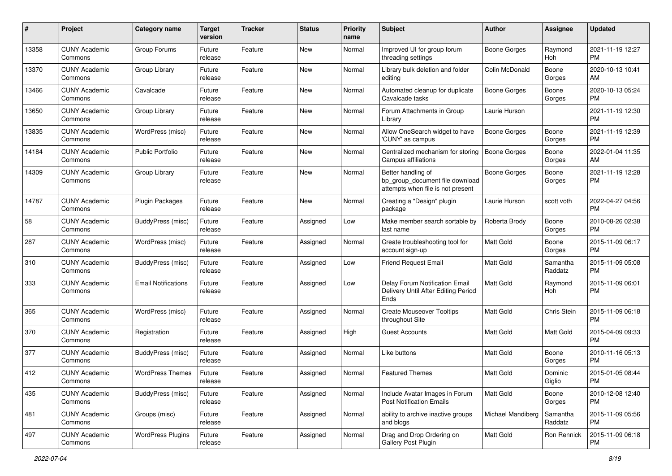| #     | Project                         | <b>Category name</b>       | <b>Target</b><br>version | <b>Tracker</b> | <b>Status</b> | <b>Priority</b><br>name | <b>Subject</b>                                                                             | Author              | <b>Assignee</b>     | <b>Updated</b>                |
|-------|---------------------------------|----------------------------|--------------------------|----------------|---------------|-------------------------|--------------------------------------------------------------------------------------------|---------------------|---------------------|-------------------------------|
| 13358 | <b>CUNY Academic</b><br>Commons | Group Forums               | Future<br>release        | Feature        | <b>New</b>    | Normal                  | Improved UI for group forum<br>threading settings                                          | <b>Boone Gorges</b> | Raymond<br>Hoh      | 2021-11-19 12:27<br>PM.       |
| 13370 | <b>CUNY Academic</b><br>Commons | Group Library              | Future<br>release        | Feature        | New           | Normal                  | Library bulk deletion and folder<br>editing                                                | Colin McDonald      | Boone<br>Gorges     | 2020-10-13 10:41<br>AM        |
| 13466 | <b>CUNY Academic</b><br>Commons | Cavalcade                  | Future<br>release        | Feature        | New           | Normal                  | Automated cleanup for duplicate<br>Cavalcade tasks                                         | Boone Gorges        | Boone<br>Gorges     | 2020-10-13 05:24<br><b>PM</b> |
| 13650 | <b>CUNY Academic</b><br>Commons | Group Library              | Future<br>release        | Feature        | New           | Normal                  | Forum Attachments in Group<br>Library                                                      | Laurie Hurson       |                     | 2021-11-19 12:30<br><b>PM</b> |
| 13835 | <b>CUNY Academic</b><br>Commons | WordPress (misc)           | Future<br>release        | Feature        | New           | Normal                  | Allow OneSearch widget to have<br>'CUNY' as campus                                         | Boone Gorges        | Boone<br>Gorges     | 2021-11-19 12:39<br><b>PM</b> |
| 14184 | <b>CUNY Academic</b><br>Commons | <b>Public Portfolio</b>    | Future<br>release        | Feature        | New           | Normal                  | Centralized mechanism for storing<br>Campus affiliations                                   | <b>Boone Gorges</b> | Boone<br>Gorges     | 2022-01-04 11:35<br>AM.       |
| 14309 | <b>CUNY Academic</b><br>Commons | Group Library              | Future<br>release        | Feature        | New           | Normal                  | Better handling of<br>bp_group_document file download<br>attempts when file is not present | <b>Boone Gorges</b> | Boone<br>Gorges     | 2021-11-19 12:28<br>PM.       |
| 14787 | <b>CUNY Academic</b><br>Commons | Plugin Packages            | Future<br>release        | Feature        | New           | Normal                  | Creating a "Design" plugin<br>package                                                      | Laurie Hurson       | scott voth          | 2022-04-27 04:56<br>PM.       |
| 58    | <b>CUNY Academic</b><br>Commons | BuddyPress (misc)          | Future<br>release        | Feature        | Assigned      | Low                     | Make member search sortable by<br>last name                                                | Roberta Brody       | Boone<br>Gorges     | 2010-08-26 02:38<br>PM.       |
| 287   | <b>CUNY Academic</b><br>Commons | WordPress (misc)           | Future<br>release        | Feature        | Assigned      | Normal                  | Create troubleshooting tool for<br>account sign-up                                         | <b>Matt Gold</b>    | Boone<br>Gorges     | 2015-11-09 06:17<br><b>PM</b> |
| 310   | <b>CUNY Academic</b><br>Commons | BuddyPress (misc)          | Future<br>release        | Feature        | Assigned      | Low                     | <b>Friend Request Email</b>                                                                | Matt Gold           | Samantha<br>Raddatz | 2015-11-09 05:08<br><b>PM</b> |
| 333   | <b>CUNY Academic</b><br>Commons | <b>Email Notifications</b> | Future<br>release        | Feature        | Assigned      | Low                     | Delay Forum Notification Email<br>Delivery Until After Editing Period<br>Ends              | <b>Matt Gold</b>    | Raymond<br>Hoh      | 2015-11-09 06:01<br><b>PM</b> |
| 365   | <b>CUNY Academic</b><br>Commons | WordPress (misc)           | Future<br>release        | Feature        | Assigned      | Normal                  | <b>Create Mouseover Tooltips</b><br>throughout Site                                        | Matt Gold           | Chris Stein         | 2015-11-09 06:18<br>PM.       |
| 370   | <b>CUNY Academic</b><br>Commons | Registration               | Future<br>release        | Feature        | Assigned      | High                    | <b>Guest Accounts</b>                                                                      | Matt Gold           | Matt Gold           | 2015-04-09 09:33<br><b>PM</b> |
| 377   | <b>CUNY Academic</b><br>Commons | BuddyPress (misc)          | Future<br>release        | Feature        | Assigned      | Normal                  | Like buttons                                                                               | Matt Gold           | Boone<br>Gorges     | 2010-11-16 05:13<br><b>PM</b> |
| 412   | <b>CUNY Academic</b><br>Commons | <b>WordPress Themes</b>    | Future<br>release        | Feature        | Assigned      | Normal                  | <b>Featured Themes</b>                                                                     | Matt Gold           | Dominic<br>Giglio   | 2015-01-05 08:44<br><b>PM</b> |
| 435   | <b>CUNY Academic</b><br>Commons | BuddyPress (misc)          | Future<br>release        | Feature        | Assigned      | Normal                  | Include Avatar Images in Forum<br><b>Post Notification Emails</b>                          | Matt Gold           | Boone<br>Gorges     | 2010-12-08 12:40<br>PM        |
| 481   | <b>CUNY Academic</b><br>Commons | Groups (misc)              | Future<br>release        | Feature        | Assigned      | Normal                  | ability to archive inactive groups<br>and blogs                                            | Michael Mandiberg   | Samantha<br>Raddatz | 2015-11-09 05:56<br><b>PM</b> |
| 497   | <b>CUNY Academic</b><br>Commons | <b>WordPress Plugins</b>   | Future<br>release        | Feature        | Assigned      | Normal                  | Drag and Drop Ordering on<br>Gallery Post Plugin                                           | Matt Gold           | Ron Rennick         | 2015-11-09 06:18<br><b>PM</b> |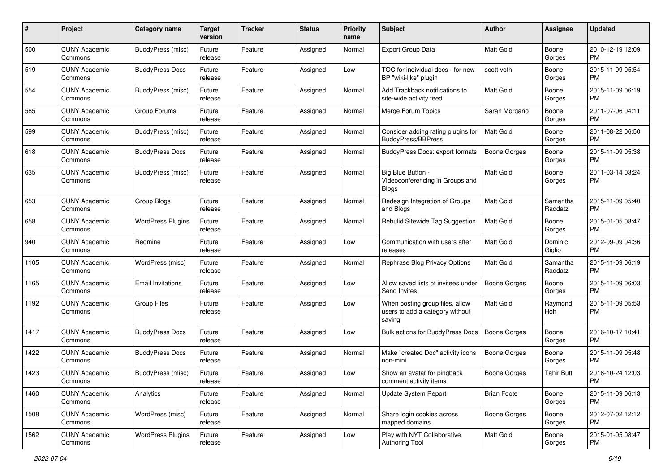| #    | Project                         | <b>Category name</b>     | <b>Target</b><br>version | <b>Tracker</b> | <b>Status</b> | <b>Priority</b><br>name | <b>Subject</b>                                                               | Author              | <b>Assignee</b>     | <b>Updated</b>                |
|------|---------------------------------|--------------------------|--------------------------|----------------|---------------|-------------------------|------------------------------------------------------------------------------|---------------------|---------------------|-------------------------------|
| 500  | <b>CUNY Academic</b><br>Commons | <b>BuddyPress (misc)</b> | Future<br>release        | Feature        | Assigned      | Normal                  | <b>Export Group Data</b>                                                     | <b>Matt Gold</b>    | Boone<br>Gorges     | 2010-12-19 12:09<br>PM.       |
| 519  | <b>CUNY Academic</b><br>Commons | <b>BuddyPress Docs</b>   | Future<br>release        | Feature        | Assigned      | Low                     | TOC for individual docs - for new<br>BP "wiki-like" plugin                   | scott voth          | Boone<br>Gorges     | 2015-11-09 05:54<br><b>PM</b> |
| 554  | <b>CUNY Academic</b><br>Commons | BuddyPress (misc)        | Future<br>release        | Feature        | Assigned      | Normal                  | Add Trackback notifications to<br>site-wide activity feed                    | <b>Matt Gold</b>    | Boone<br>Gorges     | 2015-11-09 06:19<br><b>PM</b> |
| 585  | <b>CUNY Academic</b><br>Commons | Group Forums             | Future<br>release        | Feature        | Assigned      | Normal                  | Merge Forum Topics                                                           | Sarah Morgano       | Boone<br>Gorges     | 2011-07-06 04:11<br>PM.       |
| 599  | <b>CUNY Academic</b><br>Commons | BuddyPress (misc)        | Future<br>release        | Feature        | Assigned      | Normal                  | Consider adding rating plugins for<br><b>BuddyPress/BBPress</b>              | <b>Matt Gold</b>    | Boone<br>Gorges     | 2011-08-22 06:50<br><b>PM</b> |
| 618  | <b>CUNY Academic</b><br>Commons | <b>BuddyPress Docs</b>   | Future<br>release        | Feature        | Assigned      | Normal                  | BuddyPress Docs: export formats                                              | <b>Boone Gorges</b> | Boone<br>Gorges     | 2015-11-09 05:38<br>PM.       |
| 635  | <b>CUNY Academic</b><br>Commons | BuddyPress (misc)        | Future<br>release        | Feature        | Assigned      | Normal                  | Big Blue Button -<br>Videoconferencing in Groups and<br><b>Blogs</b>         | <b>Matt Gold</b>    | Boone<br>Gorges     | 2011-03-14 03:24<br>PM.       |
| 653  | <b>CUNY Academic</b><br>Commons | Group Blogs              | Future<br>release        | Feature        | Assigned      | Normal                  | Redesign Integration of Groups<br>and Blogs                                  | Matt Gold           | Samantha<br>Raddatz | 2015-11-09 05:40<br><b>PM</b> |
| 658  | <b>CUNY Academic</b><br>Commons | <b>WordPress Plugins</b> | Future<br>release        | Feature        | Assigned      | Normal                  | Rebulid Sitewide Tag Suggestion                                              | <b>Matt Gold</b>    | Boone<br>Gorges     | 2015-01-05 08:47<br>PM.       |
| 940  | <b>CUNY Academic</b><br>Commons | Redmine                  | Future<br>release        | Feature        | Assigned      | Low                     | Communication with users after<br>releases                                   | <b>Matt Gold</b>    | Dominic<br>Giglio   | 2012-09-09 04:36<br><b>PM</b> |
| 1105 | <b>CUNY Academic</b><br>Commons | WordPress (misc)         | Future<br>release        | Feature        | Assigned      | Normal                  | Rephrase Blog Privacy Options                                                | <b>Matt Gold</b>    | Samantha<br>Raddatz | 2015-11-09 06:19<br><b>PM</b> |
| 1165 | <b>CUNY Academic</b><br>Commons | <b>Email Invitations</b> | Future<br>release        | Feature        | Assigned      | Low                     | Allow saved lists of invitees under<br>Send Invites                          | Boone Gorges        | Boone<br>Gorges     | 2015-11-09 06:03<br>PM.       |
| 1192 | <b>CUNY Academic</b><br>Commons | Group Files              | Future<br>release        | Feature        | Assigned      | Low                     | When posting group files, allow<br>users to add a category without<br>saving | Matt Gold           | Raymond<br>Hoh      | 2015-11-09 05:53<br><b>PM</b> |
| 1417 | <b>CUNY Academic</b><br>Commons | <b>BuddyPress Docs</b>   | Future<br>release        | Feature        | Assigned      | Low                     | Bulk actions for BuddyPress Docs                                             | <b>Boone Gorges</b> | Boone<br>Gorges     | 2016-10-17 10:41<br><b>PM</b> |
| 1422 | <b>CUNY Academic</b><br>Commons | <b>BuddyPress Docs</b>   | Future<br>release        | Feature        | Assigned      | Normal                  | Make "created Doc" activity icons<br>non-mini                                | <b>Boone Gorges</b> | Boone<br>Gorges     | 2015-11-09 05:48<br>PM.       |
| 1423 | <b>CUNY Academic</b><br>Commons | <b>BuddyPress (misc)</b> | Future<br>release        | Feature        | Assigned      | Low                     | Show an avatar for pingback<br>comment activity items                        | Boone Gorges        | <b>Tahir Butt</b>   | 2016-10-24 12:03<br><b>PM</b> |
| 1460 | <b>CUNY Academic</b><br>Commons | Analytics                | Future<br>release        | Feature        | Assigned      | Normal                  | Update System Report                                                         | <b>Brian Foote</b>  | Boone<br>Gorges     | 2015-11-09 06:13<br>PM.       |
| 1508 | <b>CUNY Academic</b><br>Commons | WordPress (misc)         | Future<br>release        | Feature        | Assigned      | Normal                  | Share login cookies across<br>mapped domains                                 | Boone Gorges        | Boone<br>Gorges     | 2012-07-02 12:12<br><b>PM</b> |
| 1562 | <b>CUNY Academic</b><br>Commons | <b>WordPress Plugins</b> | Future<br>release        | Feature        | Assigned      | Low                     | Play with NYT Collaborative<br>Authoring Tool                                | Matt Gold           | Boone<br>Gorges     | 2015-01-05 08:47<br><b>PM</b> |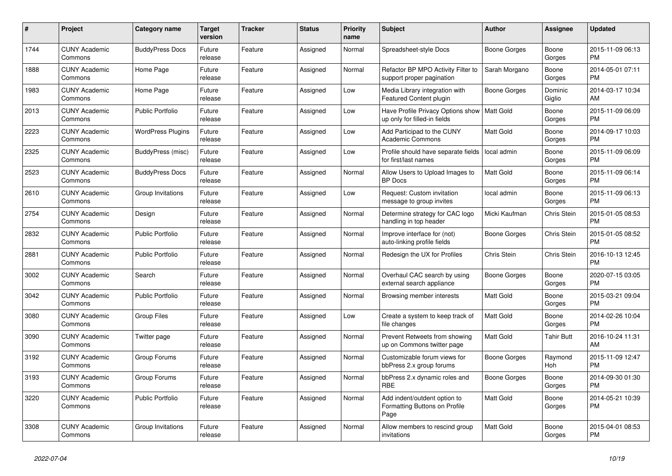| $\pmb{\#}$ | <b>Project</b>                  | <b>Category name</b>     | <b>Target</b><br>version | <b>Tracker</b> | <b>Status</b> | <b>Priority</b><br>name | <b>Subject</b>                                                        | <b>Author</b>    | Assignee          | <b>Updated</b>                |
|------------|---------------------------------|--------------------------|--------------------------|----------------|---------------|-------------------------|-----------------------------------------------------------------------|------------------|-------------------|-------------------------------|
| 1744       | <b>CUNY Academic</b><br>Commons | <b>BuddyPress Docs</b>   | Future<br>release        | Feature        | Assigned      | Normal                  | Spreadsheet-style Docs                                                | Boone Gorges     | Boone<br>Gorges   | 2015-11-09 06:13<br><b>PM</b> |
| 1888       | <b>CUNY Academic</b><br>Commons | Home Page                | Future<br>release        | Feature        | Assigned      | Normal                  | Refactor BP MPO Activity Filter to<br>support proper pagination       | Sarah Morgano    | Boone<br>Gorges   | 2014-05-01 07:11<br><b>PM</b> |
| 1983       | <b>CUNY Academic</b><br>Commons | Home Page                | Future<br>release        | Feature        | Assigned      | Low                     | Media Library integration with<br><b>Featured Content plugin</b>      | Boone Gorges     | Dominic<br>Giglio | 2014-03-17 10:34<br>AM        |
| 2013       | <b>CUNY Academic</b><br>Commons | <b>Public Portfolio</b>  | Future<br>release        | Feature        | Assigned      | Low                     | Have Profile Privacy Options show<br>up only for filled-in fields     | Matt Gold        | Boone<br>Gorges   | 2015-11-09 06:09<br><b>PM</b> |
| 2223       | <b>CUNY Academic</b><br>Commons | <b>WordPress Plugins</b> | Future<br>release        | Feature        | Assigned      | Low                     | Add Participad to the CUNY<br><b>Academic Commons</b>                 | Matt Gold        | Boone<br>Gorges   | 2014-09-17 10:03<br><b>PM</b> |
| 2325       | <b>CUNY Academic</b><br>Commons | BuddyPress (misc)        | Future<br>release        | Feature        | Assigned      | Low                     | Profile should have separate fields<br>for first/last names           | local admin      | Boone<br>Gorges   | 2015-11-09 06:09<br><b>PM</b> |
| 2523       | <b>CUNY Academic</b><br>Commons | <b>BuddyPress Docs</b>   | Future<br>release        | Feature        | Assigned      | Normal                  | Allow Users to Upload Images to<br><b>BP</b> Docs                     | <b>Matt Gold</b> | Boone<br>Gorges   | 2015-11-09 06:14<br><b>PM</b> |
| 2610       | <b>CUNY Academic</b><br>Commons | Group Invitations        | Future<br>release        | Feature        | Assigned      | Low                     | Request: Custom invitation<br>message to group invites                | local admin      | Boone<br>Gorges   | 2015-11-09 06:13<br><b>PM</b> |
| 2754       | <b>CUNY Academic</b><br>Commons | Design                   | Future<br>release        | Feature        | Assigned      | Normal                  | Determine strategy for CAC logo<br>handling in top header             | Micki Kaufman    | Chris Stein       | 2015-01-05 08:53<br><b>PM</b> |
| 2832       | <b>CUNY Academic</b><br>Commons | <b>Public Portfolio</b>  | Future<br>release        | Feature        | Assigned      | Normal                  | Improve interface for (not)<br>auto-linking profile fields            | Boone Gorges     | Chris Stein       | 2015-01-05 08:52<br><b>PM</b> |
| 2881       | <b>CUNY Academic</b><br>Commons | <b>Public Portfolio</b>  | Future<br>release        | Feature        | Assigned      | Normal                  | Redesign the UX for Profiles                                          | Chris Stein      | Chris Stein       | 2016-10-13 12:45<br><b>PM</b> |
| 3002       | <b>CUNY Academic</b><br>Commons | Search                   | Future<br>release        | Feature        | Assigned      | Normal                  | Overhaul CAC search by using<br>external search appliance             | Boone Gorges     | Boone<br>Gorges   | 2020-07-15 03:05<br><b>PM</b> |
| 3042       | <b>CUNY Academic</b><br>Commons | <b>Public Portfolio</b>  | Future<br>release        | Feature        | Assigned      | Normal                  | Browsing member interests                                             | <b>Matt Gold</b> | Boone<br>Gorges   | 2015-03-21 09:04<br><b>PM</b> |
| 3080       | <b>CUNY Academic</b><br>Commons | <b>Group Files</b>       | Future<br>release        | Feature        | Assigned      | Low                     | Create a system to keep track of<br>file changes                      | <b>Matt Gold</b> | Boone<br>Gorges   | 2014-02-26 10:04<br><b>PM</b> |
| 3090       | <b>CUNY Academic</b><br>Commons | Twitter page             | Future<br>release        | Feature        | Assigned      | Normal                  | Prevent Retweets from showing<br>up on Commons twitter page           | Matt Gold        | Tahir Butt        | 2016-10-24 11:31<br>AM        |
| 3192       | <b>CUNY Academic</b><br>Commons | Group Forums             | Future<br>release        | Feature        | Assigned      | Normal                  | Customizable forum views for<br>bbPress 2.x group forums              | Boone Gorges     | Raymond<br>Hoh    | 2015-11-09 12:47<br><b>PM</b> |
| 3193       | <b>CUNY Academic</b><br>Commons | Group Forums             | Future<br>release        | Feature        | Assigned      | Normal                  | bbPress 2.x dynamic roles and<br>RBE                                  | Boone Gorges     | Boone<br>Gorges   | 2014-09-30 01:30<br><b>PM</b> |
| 3220       | <b>CUNY Academic</b><br>Commons | <b>Public Portfolio</b>  | Future<br>release        | Feature        | Assigned      | Normal                  | Add indent/outdent option to<br>Formatting Buttons on Profile<br>Page | Matt Gold        | Boone<br>Gorges   | 2014-05-21 10:39<br><b>PM</b> |
| 3308       | <b>CUNY Academic</b><br>Commons | Group Invitations        | Future<br>release        | Feature        | Assigned      | Normal                  | Allow members to rescind group<br>invitations                         | <b>Matt Gold</b> | Boone<br>Gorges   | 2015-04-01 08:53<br><b>PM</b> |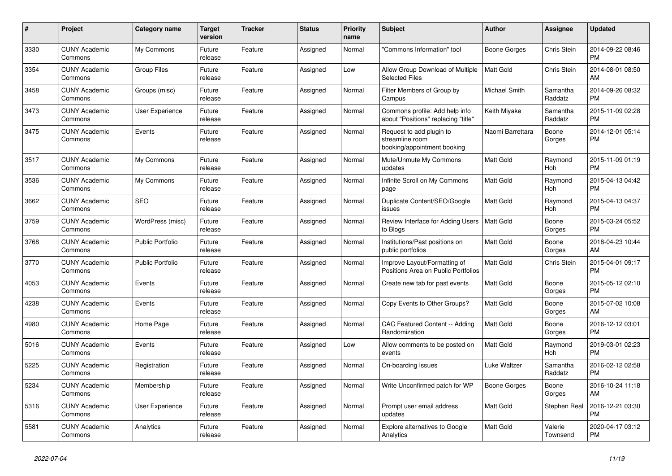| #    | <b>Project</b>                  | Category name           | <b>Target</b><br>version | <b>Tracker</b> | <b>Status</b> | <b>Priority</b><br>name | <b>Subject</b>                                                             | <b>Author</b>    | Assignee            | <b>Updated</b>                |
|------|---------------------------------|-------------------------|--------------------------|----------------|---------------|-------------------------|----------------------------------------------------------------------------|------------------|---------------------|-------------------------------|
| 3330 | <b>CUNY Academic</b><br>Commons | My Commons              | Future<br>release        | Feature        | Assigned      | Normal                  | "Commons Information" tool                                                 | Boone Gorges     | Chris Stein         | 2014-09-22 08:46<br><b>PM</b> |
| 3354 | <b>CUNY Academic</b><br>Commons | <b>Group Files</b>      | Future<br>release        | Feature        | Assigned      | Low                     | Allow Group Download of Multiple<br><b>Selected Files</b>                  | <b>Matt Gold</b> | <b>Chris Stein</b>  | 2014-08-01 08:50<br>AM        |
| 3458 | <b>CUNY Academic</b><br>Commons | Groups (misc)           | Future<br>release        | Feature        | Assigned      | Normal                  | Filter Members of Group by<br>Campus                                       | Michael Smith    | Samantha<br>Raddatz | 2014-09-26 08:32<br><b>PM</b> |
| 3473 | <b>CUNY Academic</b><br>Commons | <b>User Experience</b>  | Future<br>release        | Feature        | Assigned      | Normal                  | Commons profile: Add help info<br>about "Positions" replacing "title"      | Keith Miyake     | Samantha<br>Raddatz | 2015-11-09 02:28<br><b>PM</b> |
| 3475 | <b>CUNY Academic</b><br>Commons | Events                  | Future<br>release        | Feature        | Assigned      | Normal                  | Request to add plugin to<br>streamline room<br>booking/appointment booking | Naomi Barrettara | Boone<br>Gorges     | 2014-12-01 05:14<br><b>PM</b> |
| 3517 | <b>CUNY Academic</b><br>Commons | My Commons              | Future<br>release        | Feature        | Assigned      | Normal                  | Mute/Unmute My Commons<br>updates                                          | <b>Matt Gold</b> | Raymond<br>Hoh      | 2015-11-09 01:19<br><b>PM</b> |
| 3536 | <b>CUNY Academic</b><br>Commons | My Commons              | Future<br>release        | Feature        | Assigned      | Normal                  | Infinite Scroll on My Commons<br>page                                      | <b>Matt Gold</b> | Raymond<br>Hoh      | 2015-04-13 04:42<br><b>PM</b> |
| 3662 | <b>CUNY Academic</b><br>Commons | <b>SEO</b>              | Future<br>release        | Feature        | Assigned      | Normal                  | Duplicate Content/SEO/Google<br>issues                                     | <b>Matt Gold</b> | Raymond<br>Hoh      | 2015-04-13 04:37<br><b>PM</b> |
| 3759 | <b>CUNY Academic</b><br>Commons | WordPress (misc)        | Future<br>release        | Feature        | Assigned      | Normal                  | Review Interface for Adding Users<br>to Blogs                              | Matt Gold        | Boone<br>Gorges     | 2015-03-24 05:52<br><b>PM</b> |
| 3768 | <b>CUNY Academic</b><br>Commons | <b>Public Portfolio</b> | Future<br>release        | Feature        | Assigned      | Normal                  | Institutions/Past positions on<br>public portfolios                        | <b>Matt Gold</b> | Boone<br>Gorges     | 2018-04-23 10:44<br>AM        |
| 3770 | <b>CUNY Academic</b><br>Commons | <b>Public Portfolio</b> | Future<br>release        | Feature        | Assigned      | Normal                  | Improve Layout/Formatting of<br>Positions Area on Public Portfolios        | <b>Matt Gold</b> | Chris Stein         | 2015-04-01 09:17<br><b>PM</b> |
| 4053 | <b>CUNY Academic</b><br>Commons | Events                  | Future<br>release        | Feature        | Assigned      | Normal                  | Create new tab for past events                                             | Matt Gold        | Boone<br>Gorges     | 2015-05-12 02:10<br><b>PM</b> |
| 4238 | <b>CUNY Academic</b><br>Commons | Events                  | Future<br>release        | Feature        | Assigned      | Normal                  | Copy Events to Other Groups?                                               | <b>Matt Gold</b> | Boone<br>Gorges     | 2015-07-02 10:08<br>AM        |
| 4980 | <b>CUNY Academic</b><br>Commons | Home Page               | Future<br>release        | Feature        | Assigned      | Normal                  | CAC Featured Content -- Adding<br>Randomization                            | <b>Matt Gold</b> | Boone<br>Gorges     | 2016-12-12 03:01<br><b>PM</b> |
| 5016 | <b>CUNY Academic</b><br>Commons | Events                  | Future<br>release        | Feature        | Assigned      | Low                     | Allow comments to be posted on<br>events                                   | <b>Matt Gold</b> | Raymond<br>Hoh      | 2019-03-01 02:23<br><b>PM</b> |
| 5225 | <b>CUNY Academic</b><br>Commons | Registration            | Future<br>release        | Feature        | Assigned      | Normal                  | On-boarding Issues                                                         | Luke Waltzer     | Samantha<br>Raddatz | 2016-02-12 02:58<br><b>PM</b> |
| 5234 | <b>CUNY Academic</b><br>Commons | Membership              | Future<br>release        | Feature        | Assigned      | Normal                  | Write Unconfirmed patch for WP                                             | Boone Gorges     | Boone<br>Gorges     | 2016-10-24 11:18<br>AM        |
| 5316 | <b>CUNY Academic</b><br>Commons | User Experience         | Future<br>release        | Feature        | Assigned      | Normal                  | Prompt user email address<br>updates                                       | <b>Matt Gold</b> | Stephen Real        | 2016-12-21 03:30<br><b>PM</b> |
| 5581 | <b>CUNY Academic</b><br>Commons | Analytics               | Future<br>release        | Feature        | Assigned      | Normal                  | Explore alternatives to Google<br>Analytics                                | Matt Gold        | Valerie<br>Townsend | 2020-04-17 03:12<br><b>PM</b> |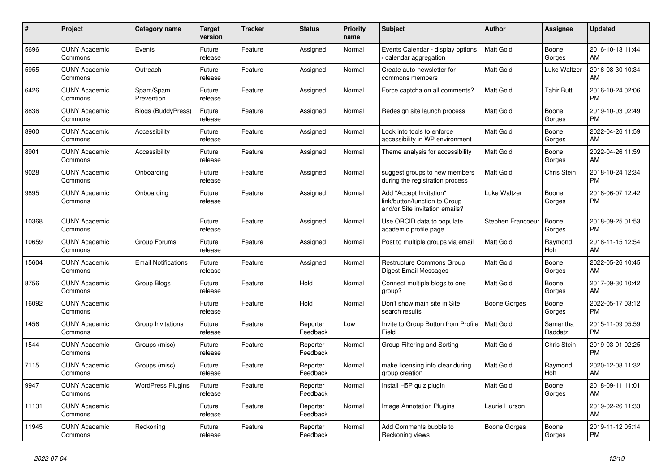| #     | Project                         | <b>Category name</b>       | Target<br>version | <b>Tracker</b> | <b>Status</b>        | Priority<br>name | <b>Subject</b>                                                                             | <b>Author</b>     | <b>Assignee</b>     | <b>Updated</b>                |
|-------|---------------------------------|----------------------------|-------------------|----------------|----------------------|------------------|--------------------------------------------------------------------------------------------|-------------------|---------------------|-------------------------------|
| 5696  | <b>CUNY Academic</b><br>Commons | Events                     | Future<br>release | Feature        | Assigned             | Normal           | Events Calendar - display options<br>calendar aggregation                                  | <b>Matt Gold</b>  | Boone<br>Gorges     | 2016-10-13 11:44<br>AM        |
| 5955  | <b>CUNY Academic</b><br>Commons | Outreach                   | Future<br>release | Feature        | Assigned             | Normal           | Create auto-newsletter for<br>commons members                                              | Matt Gold         | Luke Waltzer        | 2016-08-30 10:34<br>AM        |
| 6426  | <b>CUNY Academic</b><br>Commons | Spam/Spam<br>Prevention    | Future<br>release | Feature        | Assigned             | Normal           | Force captcha on all comments?                                                             | Matt Gold         | <b>Tahir Butt</b>   | 2016-10-24 02:06<br><b>PM</b> |
| 8836  | <b>CUNY Academic</b><br>Commons | <b>Blogs (BuddyPress)</b>  | Future<br>release | Feature        | Assigned             | Normal           | Redesign site launch process                                                               | <b>Matt Gold</b>  | Boone<br>Gorges     | 2019-10-03 02:49<br><b>PM</b> |
| 8900  | <b>CUNY Academic</b><br>Commons | Accessibility              | Future<br>release | Feature        | Assigned             | Normal           | Look into tools to enforce<br>accessibility in WP environment                              | <b>Matt Gold</b>  | Boone<br>Gorges     | 2022-04-26 11:59<br>AM        |
| 8901  | <b>CUNY Academic</b><br>Commons | Accessibility              | Future<br>release | Feature        | Assigned             | Normal           | Theme analysis for accessibility                                                           | Matt Gold         | Boone<br>Gorges     | 2022-04-26 11:59<br><b>AM</b> |
| 9028  | <b>CUNY Academic</b><br>Commons | Onboarding                 | Future<br>release | Feature        | Assigned             | Normal           | suggest groups to new members<br>during the registration process                           | <b>Matt Gold</b>  | Chris Stein         | 2018-10-24 12:34<br><b>PM</b> |
| 9895  | <b>CUNY Academic</b><br>Commons | Onboarding                 | Future<br>release | Feature        | Assigned             | Normal           | Add "Accept Invitation"<br>link/button/function to Group<br>and/or Site invitation emails? | Luke Waltzer      | Boone<br>Gorges     | 2018-06-07 12:42<br><b>PM</b> |
| 10368 | <b>CUNY Academic</b><br>Commons |                            | Future<br>release | Feature        | Assigned             | Normal           | Use ORCID data to populate<br>academic profile page                                        | Stephen Francoeur | Boone<br>Gorges     | 2018-09-25 01:53<br><b>PM</b> |
| 10659 | <b>CUNY Academic</b><br>Commons | Group Forums               | Future<br>release | Feature        | Assigned             | Normal           | Post to multiple groups via email                                                          | Matt Gold         | Raymond<br>Hoh      | 2018-11-15 12:54<br><b>AM</b> |
| 15604 | <b>CUNY Academic</b><br>Commons | <b>Email Notifications</b> | Future<br>release | Feature        | Assigned             | Normal           | Restructure Commons Group<br>Digest Email Messages                                         | Matt Gold         | Boone<br>Gorges     | 2022-05-26 10:45<br>AM        |
| 8756  | <b>CUNY Academic</b><br>Commons | Group Blogs                | Future<br>release | Feature        | Hold                 | Normal           | Connect multiple blogs to one<br>group?                                                    | Matt Gold         | Boone<br>Gorges     | 2017-09-30 10:42<br>AM        |
| 16092 | <b>CUNY Academic</b><br>Commons |                            | Future<br>release | Feature        | Hold                 | Normal           | Don't show main site in Site<br>search results                                             | Boone Gorges      | Boone<br>Gorges     | 2022-05-17 03:12<br><b>PM</b> |
| 1456  | <b>CUNY Academic</b><br>Commons | Group Invitations          | Future<br>release | Feature        | Reporter<br>Feedback | Low              | Invite to Group Button from Profile<br>Field                                               | Matt Gold         | Samantha<br>Raddatz | 2015-11-09 05:59<br><b>PM</b> |
| 1544  | <b>CUNY Academic</b><br>Commons | Groups (misc)              | Future<br>release | Feature        | Reporter<br>Feedback | Normal           | Group Filtering and Sorting                                                                | Matt Gold         | Chris Stein         | 2019-03-01 02:25<br><b>PM</b> |
| 7115  | <b>CUNY Academic</b><br>Commons | Groups (misc)              | Future<br>release | Feature        | Reporter<br>Feedback | Normal           | make licensing info clear during<br>group creation                                         | <b>Matt Gold</b>  | Raymond<br>Hoh      | 2020-12-08 11:32<br>AM        |
| 9947  | <b>CUNY Academic</b><br>Commons | <b>WordPress Plugins</b>   | Future<br>release | Feature        | Reporter<br>Feedback | Normal           | Install H5P quiz plugin                                                                    | Matt Gold         | Boone<br>Gorges     | 2018-09-11 11:01<br>AM        |
| 11131 | <b>CUNY Academic</b><br>Commons |                            | Future<br>release | Feature        | Reporter<br>Feedback | Normal           | <b>Image Annotation Plugins</b>                                                            | Laurie Hurson     |                     | 2019-02-26 11:33<br>AM        |
| 11945 | <b>CUNY Academic</b><br>Commons | Reckoning                  | Future<br>release | Feature        | Reporter<br>Feedback | Normal           | Add Comments bubble to<br>Reckoning views                                                  | Boone Gorges      | Boone<br>Gorges     | 2019-11-12 05:14<br><b>PM</b> |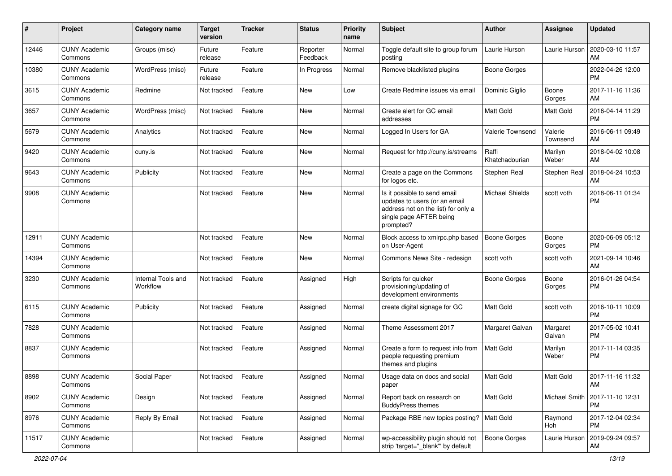| #     | Project                         | <b>Category name</b>           | <b>Target</b><br>version | <b>Tracker</b> | <b>Status</b>        | <b>Priority</b><br>name | Subject                                                                                                                                      | Author                  | Assignee            | <b>Updated</b>                |
|-------|---------------------------------|--------------------------------|--------------------------|----------------|----------------------|-------------------------|----------------------------------------------------------------------------------------------------------------------------------------------|-------------------------|---------------------|-------------------------------|
| 12446 | <b>CUNY Academic</b><br>Commons | Groups (misc)                  | Future<br>release        | Feature        | Reporter<br>Feedback | Normal                  | Toggle default site to group forum<br>posting                                                                                                | Laurie Hurson           | Laurie Hurson       | 2020-03-10 11:57<br>AM        |
| 10380 | <b>CUNY Academic</b><br>Commons | WordPress (misc)               | Future<br>release        | Feature        | In Progress          | Normal                  | Remove blacklisted plugins                                                                                                                   | <b>Boone Gorges</b>     |                     | 2022-04-26 12:00<br><b>PM</b> |
| 3615  | <b>CUNY Academic</b><br>Commons | Redmine                        | Not tracked              | Feature        | New                  | Low                     | Create Redmine issues via email                                                                                                              | Dominic Giglio          | Boone<br>Gorges     | 2017-11-16 11:36<br>AM        |
| 3657  | <b>CUNY Academic</b><br>Commons | WordPress (misc)               | Not tracked              | Feature        | <b>New</b>           | Normal                  | Create alert for GC email<br>addresses                                                                                                       | <b>Matt Gold</b>        | Matt Gold           | 2016-04-14 11:29<br><b>PM</b> |
| 5679  | <b>CUNY Academic</b><br>Commons | Analytics                      | Not tracked              | Feature        | <b>New</b>           | Normal                  | Logged In Users for GA                                                                                                                       | Valerie Townsend        | Valerie<br>Townsend | 2016-06-11 09:49<br>AM        |
| 9420  | <b>CUNY Academic</b><br>Commons | cuny.is                        | Not tracked              | Feature        | <b>New</b>           | Normal                  | Request for http://cuny.is/streams                                                                                                           | Raffi<br>Khatchadourian | Marilyn<br>Weber    | 2018-04-02 10:08<br>AM        |
| 9643  | <b>CUNY Academic</b><br>Commons | Publicity                      | Not tracked              | Feature        | New                  | Normal                  | Create a page on the Commons<br>for logos etc.                                                                                               | Stephen Real            | Stephen Real        | 2018-04-24 10:53<br>AM        |
| 9908  | <b>CUNY Academic</b><br>Commons |                                | Not tracked              | Feature        | <b>New</b>           | Normal                  | Is it possible to send email<br>updates to users (or an email<br>address not on the list) for only a<br>single page AFTER being<br>prompted? | <b>Michael Shields</b>  | scott voth          | 2018-06-11 01:34<br><b>PM</b> |
| 12911 | <b>CUNY Academic</b><br>Commons |                                | Not tracked              | Feature        | New                  | Normal                  | Block access to xmlrpc.php based<br>on User-Agent                                                                                            | <b>Boone Gorges</b>     | Boone<br>Gorges     | 2020-06-09 05:12<br><b>PM</b> |
| 14394 | <b>CUNY Academic</b><br>Commons |                                | Not tracked              | Feature        | New                  | Normal                  | Commons News Site - redesign                                                                                                                 | scott voth              | scott voth          | 2021-09-14 10:46<br>AM        |
| 3230  | <b>CUNY Academic</b><br>Commons | Internal Tools and<br>Workflow | Not tracked              | Feature        | Assigned             | High                    | Scripts for quicker<br>provisioning/updating of<br>development environments                                                                  | Boone Gorges            | Boone<br>Gorges     | 2016-01-26 04:54<br><b>PM</b> |
| 6115  | <b>CUNY Academic</b><br>Commons | Publicity                      | Not tracked              | Feature        | Assigned             | Normal                  | create digital signage for GC                                                                                                                | <b>Matt Gold</b>        | scott voth          | 2016-10-11 10:09<br><b>PM</b> |
| 7828  | <b>CUNY Academic</b><br>Commons |                                | Not tracked              | Feature        | Assigned             | Normal                  | Theme Assessment 2017                                                                                                                        | Margaret Galvan         | Margaret<br>Galvan  | 2017-05-02 10:41<br><b>PM</b> |
| 8837  | <b>CUNY Academic</b><br>Commons |                                | Not tracked              | Feature        | Assigned             | Normal                  | Create a form to request info from<br>people requesting premium<br>themes and plugins                                                        | <b>Matt Gold</b>        | Marilyn<br>Weber    | 2017-11-14 03:35<br><b>PM</b> |
| 8898  | <b>CUNY Academic</b><br>Commons | Social Paper                   | Not tracked              | Feature        | Assigned             | Normal                  | Usage data on docs and social<br>paper                                                                                                       | <b>Matt Gold</b>        | Matt Gold           | 2017-11-16 11:32<br>AM        |
| 8902  | <b>CUNY Academic</b><br>Commons | Design                         | Not tracked              | Feature        | Assigned             | Normal                  | Report back on research on<br><b>BuddyPress themes</b>                                                                                       | Matt Gold               | Michael Smith       | 2017-11-10 12:31<br><b>PM</b> |
| 8976  | <b>CUNY Academic</b><br>Commons | Reply By Email                 | Not tracked              | Feature        | Assigned             | Normal                  | Package RBE new topics posting?   Matt Gold                                                                                                  |                         | Raymond<br>Hoh      | 2017-12-04 02:34<br><b>PM</b> |
| 11517 | <b>CUNY Academic</b><br>Commons |                                | Not tracked              | Feature        | Assigned             | Normal                  | wp-accessibility plugin should not<br>strip 'target=" blank" by default                                                                      | Boone Gorges            | Laurie Hurson       | 2019-09-24 09:57<br>AM        |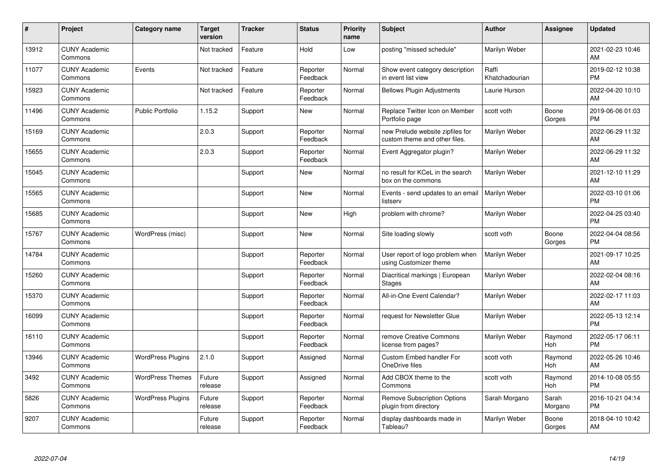| #     | Project                         | <b>Category name</b>     | <b>Target</b><br>version | <b>Tracker</b> | <b>Status</b>        | Priority<br>name | <b>Subject</b>                                                    | <b>Author</b>           | Assignee         | <b>Updated</b>                |
|-------|---------------------------------|--------------------------|--------------------------|----------------|----------------------|------------------|-------------------------------------------------------------------|-------------------------|------------------|-------------------------------|
| 13912 | <b>CUNY Academic</b><br>Commons |                          | Not tracked              | Feature        | Hold                 | Low              | posting "missed schedule"                                         | Marilyn Weber           |                  | 2021-02-23 10:46<br>AM        |
| 11077 | <b>CUNY Academic</b><br>Commons | Events                   | Not tracked              | Feature        | Reporter<br>Feedback | Normal           | Show event category description<br>in event list view             | Raffi<br>Khatchadourian |                  | 2019-02-12 10:38<br><b>PM</b> |
| 15923 | <b>CUNY Academic</b><br>Commons |                          | Not tracked              | Feature        | Reporter<br>Feedback | Normal           | <b>Bellows Plugin Adjustments</b>                                 | Laurie Hurson           |                  | 2022-04-20 10:10<br>AM        |
| 11496 | <b>CUNY Academic</b><br>Commons | <b>Public Portfolio</b>  | 1.15.2                   | Support        | <b>New</b>           | Normal           | Replace Twitter Icon on Member<br>Portfolio page                  | scott voth              | Boone<br>Gorges  | 2019-06-06 01:03<br><b>PM</b> |
| 15169 | <b>CUNY Academic</b><br>Commons |                          | 2.0.3                    | Support        | Reporter<br>Feedback | Normal           | new Prelude website zipfiles for<br>custom theme and other files. | Marilyn Weber           |                  | 2022-06-29 11:32<br>AM        |
| 15655 | <b>CUNY Academic</b><br>Commons |                          | 2.0.3                    | Support        | Reporter<br>Feedback | Normal           | Event Aggregator plugin?                                          | Marilyn Weber           |                  | 2022-06-29 11:32<br>AM        |
| 15045 | <b>CUNY Academic</b><br>Commons |                          |                          | Support        | New                  | Normal           | no result for KCeL in the search<br>box on the commons            | Marilyn Weber           |                  | 2021-12-10 11:29<br>AM        |
| 15565 | <b>CUNY Academic</b><br>Commons |                          |                          | Support        | <b>New</b>           | Normal           | Events - send updates to an email<br>listserv                     | Marilyn Weber           |                  | 2022-03-10 01:06<br><b>PM</b> |
| 15685 | <b>CUNY Academic</b><br>Commons |                          |                          | Support        | New                  | High             | problem with chrome?                                              | Marilyn Weber           |                  | 2022-04-25 03:40<br><b>PM</b> |
| 15767 | <b>CUNY Academic</b><br>Commons | WordPress (misc)         |                          | Support        | New                  | Normal           | Site loading slowly                                               | scott voth              | Boone<br>Gorges  | 2022-04-04 08:56<br><b>PM</b> |
| 14784 | <b>CUNY Academic</b><br>Commons |                          |                          | Support        | Reporter<br>Feedback | Normal           | User report of logo problem when<br>using Customizer theme        | Marilyn Weber           |                  | 2021-09-17 10:25<br>AM        |
| 15260 | <b>CUNY Academic</b><br>Commons |                          |                          | Support        | Reporter<br>Feedback | Normal           | Diacritical markings   European<br><b>Stages</b>                  | Marilyn Weber           |                  | 2022-02-04 08:16<br>AM        |
| 15370 | <b>CUNY Academic</b><br>Commons |                          |                          | Support        | Reporter<br>Feedback | Normal           | All-in-One Event Calendar?                                        | Marilyn Weber           |                  | 2022-02-17 11:03<br>AM        |
| 16099 | <b>CUNY Academic</b><br>Commons |                          |                          | Support        | Reporter<br>Feedback | Normal           | request for Newsletter Glue                                       | Marilyn Weber           |                  | 2022-05-13 12:14<br><b>PM</b> |
| 16110 | <b>CUNY Academic</b><br>Commons |                          |                          | Support        | Reporter<br>Feedback | Normal           | remove Creative Commons<br>license from pages?                    | Marilyn Weber           | Raymond<br>Hoh   | 2022-05-17 06:11<br><b>PM</b> |
| 13946 | <b>CUNY Academic</b><br>Commons | <b>WordPress Plugins</b> | 2.1.0                    | Support        | Assigned             | Normal           | Custom Embed handler For<br>OneDrive files                        | scott voth              | Raymond<br>Hoh   | 2022-05-26 10:46<br>AM        |
| 3492  | <b>CUNY Academic</b><br>Commons | <b>WordPress Themes</b>  | Future<br>release        | Support        | Assigned             | Normal           | Add CBOX theme to the<br>Commons                                  | scott voth              | Raymond<br>Hoh   | 2014-10-08 05:55<br><b>PM</b> |
| 5826  | <b>CUNY Academic</b><br>Commons | <b>WordPress Plugins</b> | Future<br>release        | Support        | Reporter<br>Feedback | Normal           | <b>Remove Subscription Options</b><br>plugin from directory       | Sarah Morgano           | Sarah<br>Morgano | 2016-10-21 04:14<br><b>PM</b> |
| 9207  | <b>CUNY Academic</b><br>Commons |                          | Future<br>release        | Support        | Reporter<br>Feedback | Normal           | display dashboards made in<br>Tableau?                            | Marilyn Weber           | Boone<br>Gorges  | 2018-04-10 10:42<br>AM        |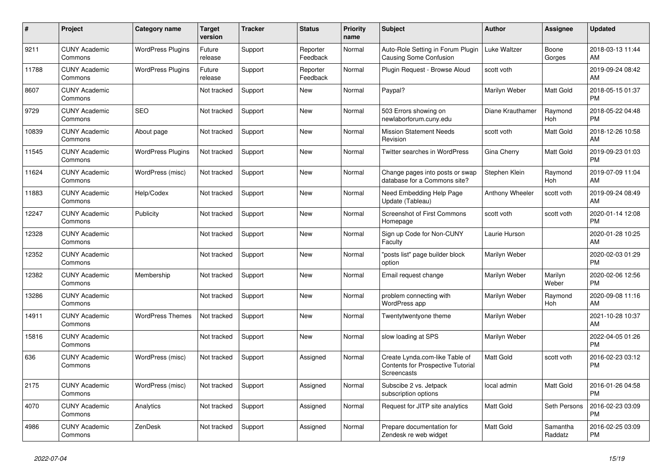| $\pmb{\sharp}$ | <b>Project</b>                  | Category name            | <b>Target</b><br>version | <b>Tracker</b> | <b>Status</b>        | <b>Priority</b><br>name | <b>Subject</b>                                                                     | <b>Author</b>    | Assignee            | <b>Updated</b>                |
|----------------|---------------------------------|--------------------------|--------------------------|----------------|----------------------|-------------------------|------------------------------------------------------------------------------------|------------------|---------------------|-------------------------------|
| 9211           | <b>CUNY Academic</b><br>Commons | <b>WordPress Plugins</b> | Future<br>release        | Support        | Reporter<br>Feedback | Normal                  | Auto-Role Setting in Forum Plugin<br>Causing Some Confusion                        | Luke Waltzer     | Boone<br>Gorges     | 2018-03-13 11:44<br>AM        |
| 11788          | <b>CUNY Academic</b><br>Commons | <b>WordPress Plugins</b> | Future<br>release        | Support        | Reporter<br>Feedback | Normal                  | Plugin Request - Browse Aloud                                                      | scott voth       |                     | 2019-09-24 08:42<br>AM        |
| 8607           | <b>CUNY Academic</b><br>Commons |                          | Not tracked              | Support        | New                  | Normal                  | Paypal?                                                                            | Marilyn Weber    | Matt Gold           | 2018-05-15 01:37<br><b>PM</b> |
| 9729           | <b>CUNY Academic</b><br>Commons | <b>SEO</b>               | Not tracked              | Support        | <b>New</b>           | Normal                  | 503 Errors showing on<br>newlaborforum.cuny.edu                                    | Diane Krauthamer | Raymond<br>Hoh      | 2018-05-22 04:48<br><b>PM</b> |
| 10839          | <b>CUNY Academic</b><br>Commons | About page               | Not tracked              | Support        | New                  | Normal                  | <b>Mission Statement Needs</b><br>Revision                                         | scott voth       | Matt Gold           | 2018-12-26 10:58<br>AM        |
| 11545          | <b>CUNY Academic</b><br>Commons | <b>WordPress Plugins</b> | Not tracked              | Support        | New                  | Normal                  | <b>Twitter searches in WordPress</b>                                               | Gina Cherry      | Matt Gold           | 2019-09-23 01:03<br><b>PM</b> |
| 11624          | <b>CUNY Academic</b><br>Commons | WordPress (misc)         | Not tracked              | Support        | New                  | Normal                  | Change pages into posts or swap<br>database for a Commons site?                    | Stephen Klein    | Raymond<br>Hoh      | 2019-07-09 11:04<br>AM        |
| 11883          | <b>CUNY Academic</b><br>Commons | Help/Codex               | Not tracked              | Support        | <b>New</b>           | Normal                  | Need Embedding Help Page<br>Update (Tableau)                                       | Anthony Wheeler  | scott voth          | 2019-09-24 08:49<br>AM        |
| 12247          | <b>CUNY Academic</b><br>Commons | Publicity                | Not tracked              | Support        | New                  | Normal                  | <b>Screenshot of First Commons</b><br>Homepage                                     | scott voth       | scott voth          | 2020-01-14 12:08<br><b>PM</b> |
| 12328          | <b>CUNY Academic</b><br>Commons |                          | Not tracked              | Support        | New                  | Normal                  | Sign up Code for Non-CUNY<br>Faculty                                               | Laurie Hurson    |                     | 2020-01-28 10:25<br>AM        |
| 12352          | <b>CUNY Academic</b><br>Commons |                          | Not tracked              | Support        | <b>New</b>           | Normal                  | "posts list" page builder block<br>option                                          | Marilyn Weber    |                     | 2020-02-03 01:29<br><b>PM</b> |
| 12382          | <b>CUNY Academic</b><br>Commons | Membership               | Not tracked              | Support        | New                  | Normal                  | Email request change                                                               | Marilyn Weber    | Marilyn<br>Weber    | 2020-02-06 12:56<br><b>PM</b> |
| 13286          | <b>CUNY Academic</b><br>Commons |                          | Not tracked              | Support        | New                  | Normal                  | problem connecting with<br>WordPress app                                           | Marilyn Weber    | Raymond<br>Hoh      | 2020-09-08 11:16<br>AM        |
| 14911          | <b>CUNY Academic</b><br>Commons | <b>WordPress Themes</b>  | Not tracked              | Support        | <b>New</b>           | Normal                  | Twentytwentyone theme                                                              | Marilyn Weber    |                     | 2021-10-28 10:37<br>AM        |
| 15816          | <b>CUNY Academic</b><br>Commons |                          | Not tracked              | Support        | <b>New</b>           | Normal                  | slow loading at SPS                                                                | Marilyn Weber    |                     | 2022-04-05 01:26<br><b>PM</b> |
| 636            | <b>CUNY Academic</b><br>Commons | WordPress (misc)         | Not tracked              | Support        | Assigned             | Normal                  | Create Lynda.com-like Table of<br>Contents for Prospective Tutorial<br>Screencasts | <b>Matt Gold</b> | scott voth          | 2016-02-23 03:12<br><b>PM</b> |
| 2175           | <b>CUNY Academic</b><br>Commons | WordPress (misc)         | Not tracked              | Support        | Assigned             | Normal                  | Subscibe 2 vs. Jetpack<br>subscription options                                     | local admin      | Matt Gold           | 2016-01-26 04:58<br><b>PM</b> |
| 4070           | <b>CUNY Academic</b><br>Commons | Analytics                | Not tracked              | Support        | Assigned             | Normal                  | Request for JITP site analytics                                                    | <b>Matt Gold</b> | Seth Persons        | 2016-02-23 03:09<br><b>PM</b> |
| 4986           | <b>CUNY Academic</b><br>Commons | ZenDesk                  | Not tracked              | Support        | Assigned             | Normal                  | Prepare documentation for<br>Zendesk re web widget                                 | <b>Matt Gold</b> | Samantha<br>Raddatz | 2016-02-25 03:09<br><b>PM</b> |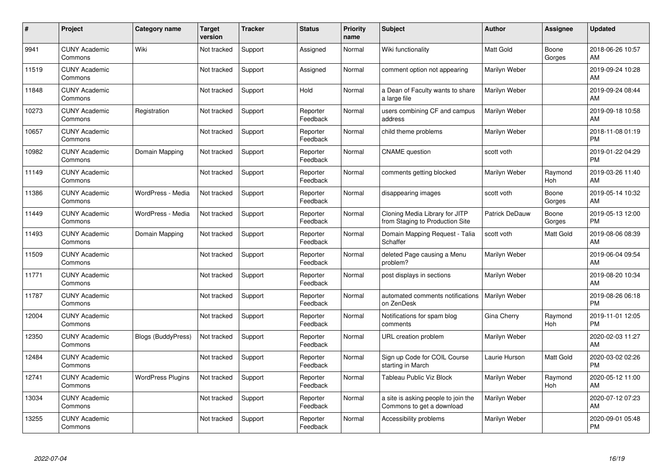| #     | Project                         | <b>Category name</b>      | <b>Target</b><br>version | <b>Tracker</b> | <b>Status</b>        | <b>Priority</b><br>name | <b>Subject</b>                                                    | <b>Author</b>    | Assignee        | <b>Updated</b>                |
|-------|---------------------------------|---------------------------|--------------------------|----------------|----------------------|-------------------------|-------------------------------------------------------------------|------------------|-----------------|-------------------------------|
| 9941  | <b>CUNY Academic</b><br>Commons | Wiki                      | Not tracked              | Support        | Assigned             | Normal                  | Wiki functionality                                                | <b>Matt Gold</b> | Boone<br>Gorges | 2018-06-26 10:57<br>AM        |
| 11519 | <b>CUNY Academic</b><br>Commons |                           | Not tracked              | Support        | Assigned             | Normal                  | comment option not appearing                                      | Marilyn Weber    |                 | 2019-09-24 10:28<br>AM        |
| 11848 | <b>CUNY Academic</b><br>Commons |                           | Not tracked              | Support        | Hold                 | Normal                  | a Dean of Faculty wants to share<br>a large file                  | Marilyn Weber    |                 | 2019-09-24 08:44<br>AM        |
| 10273 | <b>CUNY Academic</b><br>Commons | Registration              | Not tracked              | Support        | Reporter<br>Feedback | Normal                  | users combining CF and campus<br>address                          | Marilyn Weber    |                 | 2019-09-18 10:58<br>AM        |
| 10657 | <b>CUNY Academic</b><br>Commons |                           | Not tracked              | Support        | Reporter<br>Feedback | Normal                  | child theme problems                                              | Marilyn Weber    |                 | 2018-11-08 01:19<br><b>PM</b> |
| 10982 | <b>CUNY Academic</b><br>Commons | Domain Mapping            | Not tracked              | Support        | Reporter<br>Feedback | Normal                  | <b>CNAME</b> question                                             | scott voth       |                 | 2019-01-22 04:29<br><b>PM</b> |
| 11149 | <b>CUNY Academic</b><br>Commons |                           | Not tracked              | Support        | Reporter<br>Feedback | Normal                  | comments getting blocked                                          | Marilyn Weber    | Raymond<br>Hoh  | 2019-03-26 11:40<br>AM        |
| 11386 | <b>CUNY Academic</b><br>Commons | WordPress - Media         | Not tracked              | Support        | Reporter<br>Feedback | Normal                  | disappearing images                                               | scott voth       | Boone<br>Gorges | 2019-05-14 10:32<br>AM        |
| 11449 | <b>CUNY Academic</b><br>Commons | WordPress - Media         | Not tracked              | Support        | Reporter<br>Feedback | Normal                  | Cloning Media Library for JITP<br>from Staging to Production Site | Patrick DeDauw   | Boone<br>Gorges | 2019-05-13 12:00<br><b>PM</b> |
| 11493 | <b>CUNY Academic</b><br>Commons | Domain Mapping            | Not tracked              | Support        | Reporter<br>Feedback | Normal                  | Domain Mapping Request - Talia<br>Schaffer                        | scott voth       | Matt Gold       | 2019-08-06 08:39<br>AM        |
| 11509 | <b>CUNY Academic</b><br>Commons |                           | Not tracked              | Support        | Reporter<br>Feedback | Normal                  | deleted Page causing a Menu<br>problem?                           | Marilyn Weber    |                 | 2019-06-04 09:54<br>AM        |
| 11771 | <b>CUNY Academic</b><br>Commons |                           | Not tracked              | Support        | Reporter<br>Feedback | Normal                  | post displays in sections                                         | Marilyn Weber    |                 | 2019-08-20 10:34<br>AM        |
| 11787 | <b>CUNY Academic</b><br>Commons |                           | Not tracked              | Support        | Reporter<br>Feedback | Normal                  | automated comments notifications<br>on ZenDesk                    | Marilyn Weber    |                 | 2019-08-26 06:18<br><b>PM</b> |
| 12004 | <b>CUNY Academic</b><br>Commons |                           | Not tracked              | Support        | Reporter<br>Feedback | Normal                  | Notifications for spam blog<br>comments                           | Gina Cherry      | Raymond<br>Hoh  | 2019-11-01 12:05<br><b>PM</b> |
| 12350 | <b>CUNY Academic</b><br>Commons | <b>Blogs (BuddyPress)</b> | Not tracked              | Support        | Reporter<br>Feedback | Normal                  | URL creation problem                                              | Marilyn Weber    |                 | 2020-02-03 11:27<br>AM        |
| 12484 | <b>CUNY Academic</b><br>Commons |                           | Not tracked              | Support        | Reporter<br>Feedback | Normal                  | Sign up Code for COIL Course<br>starting in March                 | Laurie Hurson    | Matt Gold       | 2020-03-02 02:26<br><b>PM</b> |
| 12741 | <b>CUNY Academic</b><br>Commons | <b>WordPress Plugins</b>  | Not tracked              | Support        | Reporter<br>Feedback | Normal                  | <b>Tableau Public Viz Block</b>                                   | Marilyn Weber    | Raymond<br>Hoh  | 2020-05-12 11:00<br><b>AM</b> |
| 13034 | <b>CUNY Academic</b><br>Commons |                           | Not tracked              | Support        | Reporter<br>Feedback | Normal                  | a site is asking people to join the<br>Commons to get a download  | Marilyn Weber    |                 | 2020-07-12 07:23<br>AM        |
| 13255 | <b>CUNY Academic</b><br>Commons |                           | Not tracked              | Support        | Reporter<br>Feedback | Normal                  | Accessibility problems                                            | Marilyn Weber    |                 | 2020-09-01 05:48<br><b>PM</b> |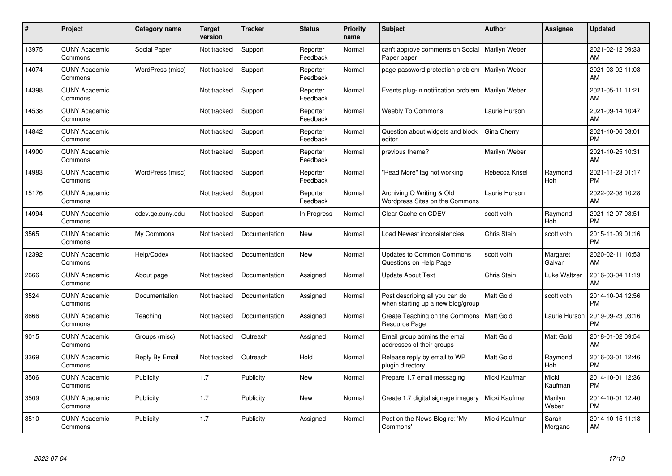| #     | Project                         | <b>Category name</b> | <b>Target</b><br>version | <b>Tracker</b> | <b>Status</b>        | <b>Priority</b><br>name | <b>Subject</b>                                                      | <b>Author</b>    | <b>Assignee</b>    | <b>Updated</b>                |
|-------|---------------------------------|----------------------|--------------------------|----------------|----------------------|-------------------------|---------------------------------------------------------------------|------------------|--------------------|-------------------------------|
| 13975 | <b>CUNY Academic</b><br>Commons | Social Paper         | Not tracked              | Support        | Reporter<br>Feedback | Normal                  | can't approve comments on Social<br>Paper paper                     | Marilyn Weber    |                    | 2021-02-12 09:33<br>AM        |
| 14074 | <b>CUNY Academic</b><br>Commons | WordPress (misc)     | Not tracked              | Support        | Reporter<br>Feedback | Normal                  | page password protection problem                                    | Marilyn Weber    |                    | 2021-03-02 11:03<br>AM        |
| 14398 | <b>CUNY Academic</b><br>Commons |                      | Not tracked              | Support        | Reporter<br>Feedback | Normal                  | Events plug-in notification problem                                 | Marilyn Weber    |                    | 2021-05-11 11:21<br>AM        |
| 14538 | <b>CUNY Academic</b><br>Commons |                      | Not tracked              | Support        | Reporter<br>Feedback | Normal                  | <b>Weebly To Commons</b>                                            | Laurie Hurson    |                    | 2021-09-14 10:47<br>AM        |
| 14842 | <b>CUNY Academic</b><br>Commons |                      | Not tracked              | Support        | Reporter<br>Feedback | Normal                  | Question about widgets and block<br>editor                          | Gina Cherry      |                    | 2021-10-06 03:01<br><b>PM</b> |
| 14900 | <b>CUNY Academic</b><br>Commons |                      | Not tracked              | Support        | Reporter<br>Feedback | Normal                  | previous theme?                                                     | Marilyn Weber    |                    | 2021-10-25 10:31<br>AM        |
| 14983 | <b>CUNY Academic</b><br>Commons | WordPress (misc)     | Not tracked              | Support        | Reporter<br>Feedback | Normal                  | "Read More" tag not working                                         | Rebecca Krisel   | Raymond<br>Hoh     | 2021-11-23 01:17<br><b>PM</b> |
| 15176 | <b>CUNY Academic</b><br>Commons |                      | Not tracked              | Support        | Reporter<br>Feedback | Normal                  | Archiving Q Writing & Old<br>Wordpress Sites on the Commons         | Laurie Hurson    |                    | 2022-02-08 10:28<br>AM        |
| 14994 | <b>CUNY Academic</b><br>Commons | cdev.gc.cuny.edu     | Not tracked              | Support        | In Progress          | Normal                  | Clear Cache on CDEV                                                 | scott voth       | Raymond<br>Hoh     | 2021-12-07 03:51<br><b>PM</b> |
| 3565  | <b>CUNY Academic</b><br>Commons | My Commons           | Not tracked              | Documentation  | New                  | Normal                  | Load Newest inconsistencies                                         | Chris Stein      | scott voth         | 2015-11-09 01:16<br><b>PM</b> |
| 12392 | <b>CUNY Academic</b><br>Commons | Help/Codex           | Not tracked              | Documentation  | New                  | Normal                  | <b>Updates to Common Commons</b><br>Questions on Help Page          | scott voth       | Margaret<br>Galvan | 2020-02-11 10:53<br>AM        |
| 2666  | <b>CUNY Academic</b><br>Commons | About page           | Not tracked              | Documentation  | Assigned             | Normal                  | <b>Update About Text</b>                                            | Chris Stein      | Luke Waltzer       | 2016-03-04 11:19<br>AM        |
| 3524  | <b>CUNY Academic</b><br>Commons | Documentation        | Not tracked              | Documentation  | Assigned             | Normal                  | Post describing all you can do<br>when starting up a new blog/group | Matt Gold        | scott voth         | 2014-10-04 12:56<br><b>PM</b> |
| 8666  | <b>CUNY Academic</b><br>Commons | Teaching             | Not tracked              | Documentation  | Assigned             | Normal                  | Create Teaching on the Commons<br>Resource Page                     | Matt Gold        | Laurie Hurson      | 2019-09-23 03:16<br><b>PM</b> |
| 9015  | <b>CUNY Academic</b><br>Commons | Groups (misc)        | Not tracked              | Outreach       | Assigned             | Normal                  | Email group admins the email<br>addresses of their groups           | Matt Gold        | Matt Gold          | 2018-01-02 09:54<br>AM        |
| 3369  | <b>CUNY Academic</b><br>Commons | Reply By Email       | Not tracked              | Outreach       | Hold                 | Normal                  | Release reply by email to WP<br>plugin directory                    | <b>Matt Gold</b> | Raymond<br>Hoh     | 2016-03-01 12:46<br><b>PM</b> |
| 3506  | <b>CUNY Academic</b><br>Commons | Publicity            | 1.7                      | Publicity      | <b>New</b>           | Normal                  | Prepare 1.7 email messaging                                         | Micki Kaufman    | Micki<br>Kaufman   | 2014-10-01 12:36<br><b>PM</b> |
| 3509  | <b>CUNY Academic</b><br>Commons | Publicity            | 1.7                      | Publicity      | <b>New</b>           | Normal                  | Create 1.7 digital signage imagery                                  | Micki Kaufman    | Marilyn<br>Weber   | 2014-10-01 12:40<br><b>PM</b> |
| 3510  | <b>CUNY Academic</b><br>Commons | Publicity            | 1.7                      | Publicity      | Assigned             | Normal                  | Post on the News Blog re: 'My<br>Commons'                           | Micki Kaufman    | Sarah<br>Morgano   | 2014-10-15 11:18<br>AM        |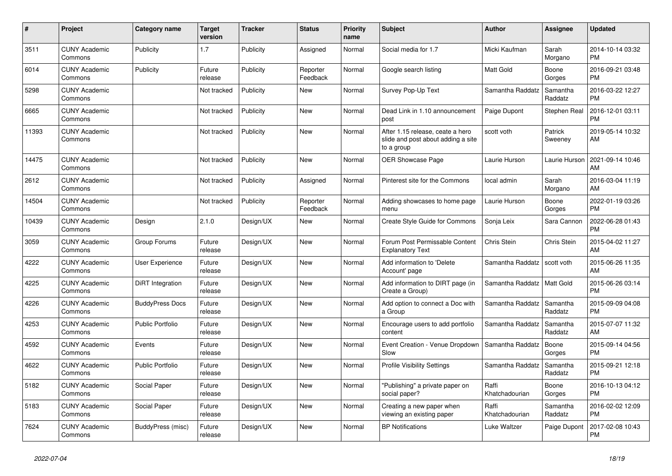| #     | <b>Project</b>                  | Category name           | <b>Target</b><br>version | <b>Tracker</b> | <b>Status</b>        | <b>Priority</b><br>name | <b>Subject</b>                                                                       | <b>Author</b>           | Assignee            | <b>Updated</b>                |
|-------|---------------------------------|-------------------------|--------------------------|----------------|----------------------|-------------------------|--------------------------------------------------------------------------------------|-------------------------|---------------------|-------------------------------|
| 3511  | <b>CUNY Academic</b><br>Commons | Publicity               | 1.7                      | Publicity      | Assigned             | Normal                  | Social media for 1.7                                                                 | Micki Kaufman           | Sarah<br>Morgano    | 2014-10-14 03:32<br><b>PM</b> |
| 6014  | <b>CUNY Academic</b><br>Commons | Publicity               | Future<br>release        | Publicity      | Reporter<br>Feedback | Normal                  | Google search listing                                                                | <b>Matt Gold</b>        | Boone<br>Gorges     | 2016-09-21 03:48<br><b>PM</b> |
| 5298  | <b>CUNY Academic</b><br>Commons |                         | Not tracked              | Publicity      | New                  | Normal                  | Survey Pop-Up Text                                                                   | Samantha Raddatz        | Samantha<br>Raddatz | 2016-03-22 12:27<br><b>PM</b> |
| 6665  | <b>CUNY Academic</b><br>Commons |                         | Not tracked              | Publicity      | <b>New</b>           | Normal                  | Dead Link in 1.10 announcement<br>post                                               | Paige Dupont            | Stephen Real        | 2016-12-01 03:11<br><b>PM</b> |
| 11393 | <b>CUNY Academic</b><br>Commons |                         | Not tracked              | Publicity      | <b>New</b>           | Normal                  | After 1.15 release, ceate a hero<br>slide and post about adding a site<br>to a group | scott voth              | Patrick<br>Sweeney  | 2019-05-14 10:32<br>AM        |
| 14475 | <b>CUNY Academic</b><br>Commons |                         | Not tracked              | Publicity      | <b>New</b>           | Normal                  | OER Showcase Page                                                                    | Laurie Hurson           | Laurie Hurson       | 2021-09-14 10:46<br>AM        |
| 2612  | <b>CUNY Academic</b><br>Commons |                         | Not tracked              | Publicity      | Assigned             | Normal                  | Pinterest site for the Commons                                                       | local admin             | Sarah<br>Morgano    | 2016-03-04 11:19<br>AM        |
| 14504 | <b>CUNY Academic</b><br>Commons |                         | Not tracked              | Publicity      | Reporter<br>Feedback | Normal                  | Adding showcases to home page<br>menu                                                | Laurie Hurson           | Boone<br>Gorges     | 2022-01-19 03:26<br><b>PM</b> |
| 10439 | <b>CUNY Academic</b><br>Commons | Design                  | 2.1.0                    | Design/UX      | <b>New</b>           | Normal                  | Create Style Guide for Commons                                                       | Sonja Leix              | Sara Cannon         | 2022-06-28 01:43<br><b>PM</b> |
| 3059  | <b>CUNY Academic</b><br>Commons | Group Forums            | Future<br>release        | Design/UX      | <b>New</b>           | Normal                  | Forum Post Permissable Content<br><b>Explanatory Text</b>                            | Chris Stein             | Chris Stein         | 2015-04-02 11:27<br>AM        |
| 4222  | <b>CUNY Academic</b><br>Commons | User Experience         | Future<br>release        | Design/UX      | New                  | Normal                  | Add information to 'Delete<br>Account' page                                          | Samantha Raddatz        | scott voth          | 2015-06-26 11:35<br>AM        |
| 4225  | <b>CUNY Academic</b><br>Commons | DiRT Integration        | Future<br>release        | Design/UX      | <b>New</b>           | Normal                  | Add information to DIRT page (in<br>Create a Group)                                  | Samantha Raddatz        | Matt Gold           | 2015-06-26 03:14<br><b>PM</b> |
| 4226  | <b>CUNY Academic</b><br>Commons | <b>BuddyPress Docs</b>  | Future<br>release        | Design/UX      | <b>New</b>           | Normal                  | Add option to connect a Doc with<br>a Group                                          | Samantha Raddatz        | Samantha<br>Raddatz | 2015-09-09 04:08<br><b>PM</b> |
| 4253  | <b>CUNY Academic</b><br>Commons | <b>Public Portfolio</b> | Future<br>release        | Design/UX      | <b>New</b>           | Normal                  | Encourage users to add portfolio<br>content                                          | Samantha Raddatz        | Samantha<br>Raddatz | 2015-07-07 11:32<br>AM        |
| 4592  | <b>CUNY Academic</b><br>Commons | Events                  | Future<br>release        | Design/UX      | <b>New</b>           | Normal                  | Event Creation - Venue Dropdown<br>Slow                                              | Samantha Raddatz        | Boone<br>Gorges     | 2015-09-14 04:56<br><b>PM</b> |
| 4622  | <b>CUNY Academic</b><br>Commons | <b>Public Portfolio</b> | Future<br>release        | Design/UX      | <b>New</b>           | Normal                  | <b>Profile Visibility Settings</b>                                                   | Samantha Raddatz        | Samantha<br>Raddatz | 2015-09-21 12:18<br><b>PM</b> |
| 5182  | <b>CUNY Academic</b><br>Commons | Social Paper            | Future<br>release        | Design/UX      | <b>New</b>           | Normal                  | "Publishing" a private paper on<br>social paper?                                     | Raffi<br>Khatchadourian | Boone<br>Gorges     | 2016-10-13 04:12<br><b>PM</b> |
| 5183  | <b>CUNY Academic</b><br>Commons | Social Paper            | Future<br>release        | Design/UX      | New                  | Normal                  | Creating a new paper when<br>viewing an existing paper                               | Raffi<br>Khatchadourian | Samantha<br>Raddatz | 2016-02-02 12:09<br><b>PM</b> |
| 7624  | <b>CUNY Academic</b><br>Commons | BuddyPress (misc)       | Future<br>release        | Design/UX      | <b>New</b>           | Normal                  | <b>BP</b> Notifications                                                              | Luke Waltzer            | Paige Dupont        | 2017-02-08 10:43<br><b>PM</b> |